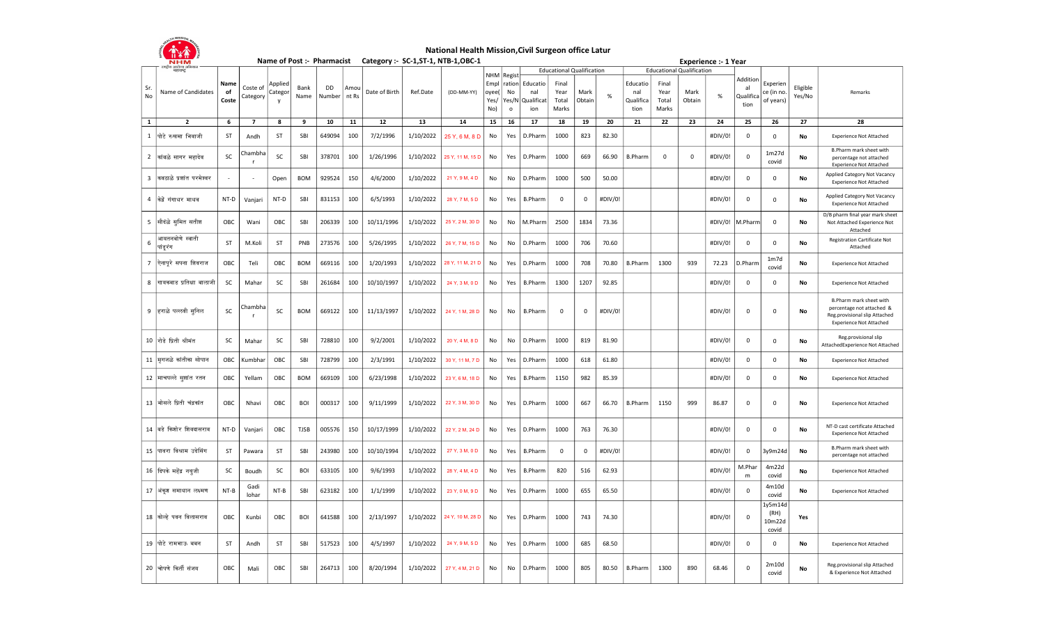

## National Health Mission, Civil Surgeon office Latur

|                | <b>NHM</b>                       |                     |                      |                    |              | Name of Post :- Pharmacist |               |               |           | Category :- SC-1, ST-1, NTB-1, OBC-1 |                                            |                        |                                             |                                  |                |         |                                      |                                  |                | <b>Experience :- 1 Year</b> |                                     |                                    |                    |                                                                                                                         |
|----------------|----------------------------------|---------------------|----------------------|--------------------|--------------|----------------------------|---------------|---------------|-----------|--------------------------------------|--------------------------------------------|------------------------|---------------------------------------------|----------------------------------|----------------|---------|--------------------------------------|----------------------------------|----------------|-----------------------------|-------------------------------------|------------------------------------|--------------------|-------------------------------------------------------------------------------------------------------------------------|
|                | राष्ट्रीय आरोज्य अ<br>महाराष्ट्र |                     |                      |                    |              |                            |               |               |           |                                      |                                            |                        |                                             | <b>Educational Qualification</b> |                |         |                                      | <b>Educational Qualification</b> |                |                             |                                     |                                    |                    |                                                                                                                         |
| Sr.<br>No      | Name of Candidates               | Name<br>of<br>Coste | Coste of<br>Category | Applied<br>Categor | Bank<br>Name | <b>DD</b><br>Number        | Amou<br>nt Rs | Date of Birth | Ref.Date  | (DD-MM-YY)                           | NHM Regist<br>Empl<br>oyee(<br>Yes/<br>No) | No<br>Yes/N<br>$\circ$ | ration Educatio<br>nal<br>Qualificat<br>ion | Final<br>Year<br>Total<br>Marks  | Mark<br>Obtain | $\%$    | Educatio<br>nal<br>Qualifica<br>tion | Final<br>Year<br>Total<br>Marks  | Mark<br>Obtain | $\%$                        | Additior<br>al<br>Qualifica<br>tion | Experien<br>ce (in no<br>of years) | Eligible<br>Yes/No | Remarks                                                                                                                 |
| 1              | $\overline{2}$                   | 6                   | $\overline{ }$       | 8                  | 9            | 10                         | 11            | 12            | 13        | 14                                   | 15                                         | 16                     | 17                                          | 18                               | 19             | 20      | 21                                   | 22                               | 23             | 24                          | 25                                  | 26                                 | 27                 | 28                                                                                                                      |
| 1              | पोटे रुखमा भिवाजी                | ST                  | Andh                 | ST                 | SBI          | 649094                     | 100           | 7/2/1996      | 1/10/2022 | 25 Y, 6 M, 8 D                       | No                                         | Yes                    | D.Pharm                                     | 1000                             | 823            | 82.30   |                                      |                                  |                | #DIV/0!                     | 0                                   | $\Omega$                           | No                 | <b>Experience Not Attached</b>                                                                                          |
| $\overline{2}$ | ∣कांबळे सागर महादेव              | SC                  | Chambha              | SC                 | SBI          | 378701                     | 100           | 1/26/1996     | 1/10/2022 | 25 Y, 11 M, 15 D                     | No                                         | Yes                    | D.Pharm                                     | 1000                             | 669            | 66.90   | <b>B.Pharm</b>                       | $\Omega$                         | $\mathbf 0$    | #DIV/0!                     | $\overline{0}$                      | 1m27d<br>covid                     | No                 | B.Pharm mark sheet with<br>percentage not attached<br><b>Experience Not Attached</b>                                    |
| 3              | किवठाळे प्रशांत परमेश्वर         |                     |                      | Open               | <b>BOM</b>   | 929524                     | 150           | 4/6/2000      | 1/10/2022 | 21 Y, 9 M, 4 D                       | No                                         | No                     | D.Pharm                                     | 1000                             | 500            | 50.00   |                                      |                                  |                | #DIV/0!                     | $\overline{0}$                      | $\mathbf 0$                        | No                 | Applied Category Not Vacancy<br><b>Experience Not Attached</b>                                                          |
| $\overline{4}$ | केद्रे गंगाधर माधव               | NT-D                | Vanjari              | NT-D               | SBI          | 831153                     | 100           | 6/5/1993      | 1/10/2022 | 28 Y, 7 M, 5 D                       | No                                         | Yes                    | <b>B.Pharm</b>                              | $\mathsf 0$                      | $\mathsf 0$    | #DIV/0! |                                      |                                  |                | #DIV/0!                     | $\mathbf 0$                         | $\mathsf 0$                        | No                 | Applied Category Not Vacancy<br><b>Experience Not Attached</b>                                                          |
|                | 5 सौदंळे समित सतीश               | OBC                 | Wani                 | OBC                | SBI          | 206339                     | 100           | 10/11/1996    | 1/10/2022 | 25 Y, 2 M, 30 D                      | No                                         | <b>No</b>              | M.Pharm                                     | 2500                             | 1834           | 73.36   |                                      |                                  |                | #DIV/0!                     | M.Pharm                             | $\mathsf 0$                        | No                 | D/B pharm final year mark sheet<br>Not Attached Experience Not<br>Attached                                              |
| 6              | आयतनबोणे स्वाती<br> पांडूरंग     | ST                  | M.Koli               | <b>ST</b>          | PNB          | 273576                     | 100           | 5/26/1995     | 1/10/2022 | 26 Y, 7 M, 15 D                      | No                                         | <b>No</b>              | D.Pharm                                     | 1000                             | 706            | 70.60   |                                      |                                  |                | #DIV/0!                     | $\mathbf{0}$                        | $\Omega$                           | No                 | <b>Registration Cartificate Not</b><br>Attached                                                                         |
|                | 7  ऐनापुरे सपना शिवराज           | OBC                 | Teli                 | OBC                | <b>BOM</b>   | 669116                     | 100           | 1/20/1993     | 1/10/2022 | 28 Y, 11 M, 21 D                     | No                                         | Yes                    | D.Pharm                                     | 1000                             | 708            | 70.80   | <b>B.Pharm</b>                       | 1300                             | 939            | 72.23                       | D.Pharm                             | $1m$ 7d<br>covid                   | No                 | <b>Experience Not Attached</b>                                                                                          |
| 8              | गायकवाड प्रतिक्षा बालाजी         | SC                  | Mahar                | SC                 | SBI          | 261684                     | 100           | 10/10/1997    | 1/10/2022 | 24 Y, 3 M, 0 D                       | No                                         | Yes                    | B.Pharm                                     | 1300                             | 1207           | 92.85   |                                      |                                  |                | #DIV/0!                     | 0                                   | $\mathbf 0$                        | No                 | <b>Experience Not Attached</b>                                                                                          |
| 9              | ∣हराळे पल्लवी सुनिल              | SC                  | Chambha              | SC                 | <b>BOM</b>   | 669122                     | 100           | 11/13/1997    | 1/10/2022 | 24 Y, 1 M, 28 D                      | No                                         | No                     | <b>B.Pharm</b>                              | 0                                | $\mathbf 0$    | #DIV/0! |                                      |                                  |                | #DIV/0!                     | $\mathbf 0$                         | $\mathbf 0$                        | No                 | B.Pharm mark sheet with<br>percentage not attached &<br>Reg.provisional slip Attached<br><b>Experience Not Attached</b> |
|                | 10 रोडे प्रिती श्रीमंत           | SC                  | Mahar                | SC                 | SBI          | 728810                     | 100           | 9/2/2001      | 1/10/2022 | 20 Y, 4 M, 8 D                       | No                                         | No                     | D.Pharm                                     | 1000                             | 819            | 81.90   |                                      |                                  |                | #DIV/0!                     | $\mathbf 0$                         | $\mathsf 0$                        | No                 | Reg.provisional slip<br>AttachedExperience Not Attached                                                                 |
|                | 11  मृगजळे कांतीका सोपान         | OBC                 | Kumbhar              | OBC                | SBI          | 728799                     | 100           | 2/3/1991      | 1/10/2022 | 30 Y, 11 M, 7 D                      | No                                         | Yes                    | D.Pharm                                     | 1000                             | 618            | 61.80   |                                      |                                  |                | #DIV/0!                     | $\mathbf 0$                         | $\mathbf 0$                        | No                 | <b>Experience Not Attached</b>                                                                                          |
|                | 12  माचपल्ले सुशांत रतन          | OBC                 | Yellam               | OBC                | <b>BOM</b>   | 669109                     | 100           | 6/23/1998     | 1/10/2022 | 23 Y, 6 M, 18 D                      | No                                         | Yes                    | <b>B.Pharm</b>                              | 1150                             | 982            | 85.39   |                                      |                                  |                | #DIV/0!                     | $\mathbf 0$                         | $\mathsf 0$                        | No                 | <b>Experience Not Attached</b>                                                                                          |
|                | 13 शोसले प्रिती चंद्रकांत        | OBC                 | Nhavi                | OBC                | <b>BOI</b>   | 000317                     | 100           | 9/11/1999     | 1/10/2022 | 22 Y, 3 M, 30 D                      | No                                         | Yes                    | D.Pharm                                     | 1000                             | 667            | 66.70   | <b>B.Pharm</b>                       | 1150                             | 999            | 86.87                       | $\mathbf 0$                         | $\mathsf 0$                        | No                 | <b>Experience Not Attached</b>                                                                                          |
|                | 14  बडे किशोर शिवदासराव          | NT-D                | Vanjari              | OBC                | <b>TJSB</b>  | 005576                     | 150           | 10/17/1999    | 1/10/2022 | 22 Y, 2 M, 24 D                      | No                                         | Yes                    | D.Pharm                                     | 1000                             | 763            | 76.30   |                                      |                                  |                | #DIV/0!                     | $\mathbf 0$                         | $\mathsf 0$                        | No                 | NT-D cast certificate Attached<br><b>Experience Not Attached</b>                                                        |
|                | 15 पावरा विश्राम उदेसिंग         | <b>ST</b>           | Pawara               | <b>ST</b>          | SBI          | 243980                     | 100           | 10/10/1994    | 1/10/2022 | 27 Y, 3 M, 0 D                       | No                                         | Yes                    | <b>B.Pharm</b>                              | 0                                | $\mathbf 0$    | #DIV/0! |                                      |                                  |                | #DIV/0!                     | $\mathbf 0$                         | 3y9m24d                            | No                 | B.Pharm mark sheet with<br>percentage not attached                                                                      |
|                | 16 दिपके महेंद्र नथुजी           | SC                  | Boudh                | SC                 | <b>BOI</b>   | 633105                     | 100           | 9/6/1993      | 1/10/2022 | 28 Y, 4 M, 4 D                       | No                                         | Yes                    | <b>B.Pharm</b>                              | 820                              | 516            | 62.93   |                                      |                                  |                | #DIV/0!                     | M.Phar<br>m                         | 4m22d<br>covid                     | No                 | <b>Experience Not Attached</b>                                                                                          |
|                | 17  अंकूश समाधान लक्ष्मण         | $NT-B$              | Gadi<br>lohar        | $NT-B$             | SBI          | 623182                     | 100           | 1/1/1999      | 1/10/2022 | 23 Y, 0 M, 9 D                       | No                                         | Yes                    | D.Pharm                                     | 1000                             | 655            | 65.50   |                                      |                                  |                | #DIV/0!                     | $\mathbf 0$                         | 4m10d<br>covid                     | No                 | <b>Experience Not Attached</b>                                                                                          |
|                | 18 कोल्हे पवन विलासराव           | OBC                 | Kunbi                | ОВС                | <b>BOI</b>   | 641588                     | 100           | 2/13/1997     | 1/10/2022 | 24 Y, 10 M, 28 D                     | No                                         | Yes                    | D.Pharm                                     | 1000                             | 743            | 74.30   |                                      |                                  |                | #DIV/0!                     | $\mathbf 0$                         | ly5m14d<br>(RH)<br>10m22d<br>covid | Yes                |                                                                                                                         |
|                | 19 गोटे रामभाऊ बबन               | ST                  | Andh                 | ST                 | SBI          | 517523                     | 100           | 4/5/1997      | 1/10/2022 | 24 Y, 9 M, 5 D                       | No                                         | Yes                    | D.Pharm                                     | 1000                             | 685            | 68.50   |                                      |                                  |                | #DIV/0!                     | $\mathbf 0$                         | 0                                  | No                 | <b>Experience Not Attached</b>                                                                                          |
|                | 20 चोपणे किर्ती संजय             | OBC                 | Mali                 | OBC                | SBI          | 264713                     | 100           | 8/20/1994     | 1/10/2022 | 27 Y, 4 M, 21 D                      | No                                         | No                     | D.Pharm                                     | 1000                             | 805            | 80.50   | <b>B.Pharm</b>                       | 1300                             | 890            | 68.46                       | $\mathbf 0$                         | 2m10d<br>covid                     | No                 | Reg.provisional slip Attached<br>& Experience Not Attached                                                              |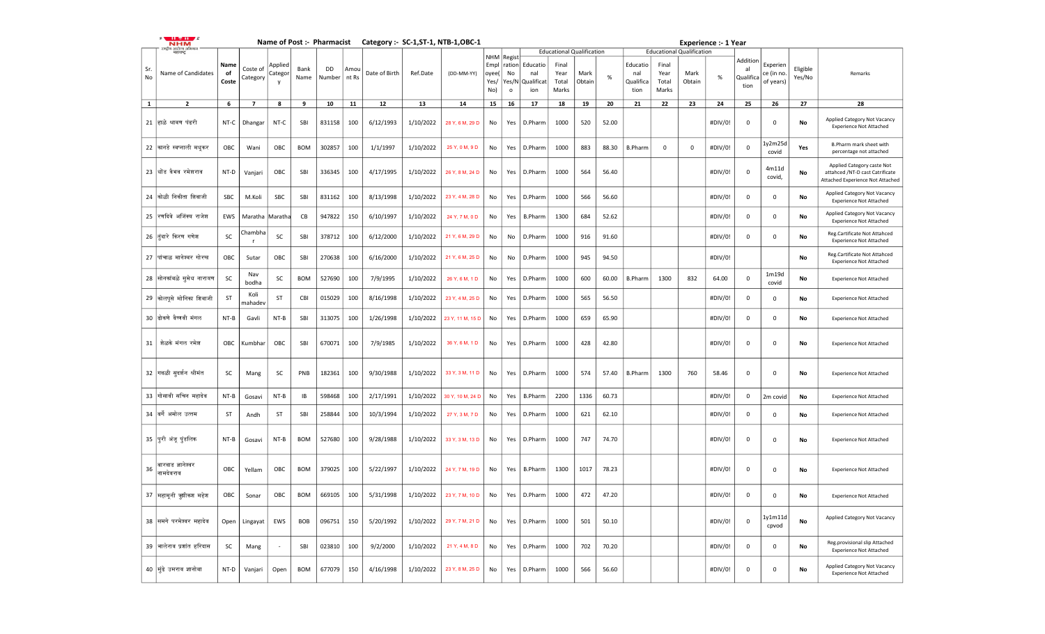|           | .<br><b>NHM</b>                |                     |                      |                         |              |                      |      |               |           | Name of Post :- Pharmacist Category :- SC-1, ST-1, NTB-1, OBC-1 |                              |                                  |                                             |                                  |                |       |                                      |                                 |                                  | <b>Experience :- 1 Year</b> |                                    |                                     |                    |                                                                                                   |
|-----------|--------------------------------|---------------------|----------------------|-------------------------|--------------|----------------------|------|---------------|-----------|-----------------------------------------------------------------|------------------------------|----------------------------------|---------------------------------------------|----------------------------------|----------------|-------|--------------------------------------|---------------------------------|----------------------------------|-----------------------------|------------------------------------|-------------------------------------|--------------------|---------------------------------------------------------------------------------------------------|
|           | य आरोज्य अ<br>महाराष्ट्र       |                     |                      |                         |              |                      |      |               |           |                                                                 | NHM                          |                                  |                                             | <b>Educational Qualification</b> |                |       |                                      |                                 | <b>Educational Qualification</b> |                             |                                    |                                     |                    |                                                                                                   |
| Sr.<br>No | Name of Candidates             | Name<br>of<br>Coste | Coste of<br>Category | Applied<br>Categor<br>v | Bank<br>Name | DD<br>Number   nt Rs | Amou | Date of Birth | Ref.Date  | (DD-MM-YY)                                                      | Empl<br>oyee(<br>Yes/<br>No) | Regist<br>No<br>Yes/N<br>$\circ$ | ration Educatio<br>nal<br>Qualificat<br>ion | Final<br>Year<br>Total<br>Marks  | Mark<br>Obtain | $\%$  | Educatio<br>nal<br>Qualifica<br>tion | Final<br>Year<br>Total<br>Marks | Mark<br>Obtain                   | %                           | Addition<br>al<br>Qualific<br>tion | Experien<br>ce (in no.<br>of years) | Eligible<br>Yes/No | Remarks                                                                                           |
|           |                                |                     |                      |                         |              |                      |      |               |           |                                                                 |                              |                                  |                                             |                                  |                |       |                                      |                                 |                                  |                             |                                    |                                     |                    |                                                                                                   |
| 1         | $\overline{2}$                 | 6                   | 7                    | 8                       | 9            | 10                   | 11   | 12            | 13        | 14                                                              | 15                           | 16                               | 17                                          | 18                               | 19             | 20    | 21                                   | 22                              | 23                               | 24                          | 25                                 | 26                                  | 27                 | 28                                                                                                |
|           | 21  हाळे श्रावण पंढरी          | NT-C                | Dhangar              | NT-C                    | SBI          | 831158               | 100  | 6/12/1993     | 1/10/2022 | 28 Y, 6 M, 29 D                                                 | No                           | Yes                              | D.Pharm                                     | 1000                             | 520            | 52.00 |                                      |                                 |                                  | #DIV/0!                     | $\mathbf{0}$                       | 0                                   | No                 | Applied Category Not Vacancy<br><b>Experience Not Attached</b>                                    |
|           | 22 कानडे स्वप्नाली मधुकर       | OBC                 | Wani                 | OBC                     | BOM          | 302857               | 100  | 1/1/1997      | 1/10/2022 | 25 Y, 0 M, 9 D                                                  | No                           | Yes                              | D.Pharm                                     | 1000                             | 883            | 88.30 | <b>B.Pharm</b>                       | $\mathbf{0}$                    | 0                                | #DIV/0!                     | $\mathbf 0$                        | ly2m25d<br>covid                    | Yes                | B.Pharm mark sheet with<br>percentage not attached                                                |
|           | 23  धोंड वैभव रमेशराव          | NT-D                | Vanjari              | OBC                     | SBI          | 336345               | 100  | 4/17/1995     | 1/10/2022 | 26 Y, 8 M, 24 D                                                 | No                           | Yes                              | D.Pharm                                     | 1000                             | 564            | 56.40 |                                      |                                 |                                  | #DIV/0!                     | $\mathbf{0}$                       | 4m11d<br>covid,                     | No                 | Applied Category caste Not<br>attahced /NT-D cast Catrificate<br>Attached Experience Not Attached |
|           | 24 कोळी निकीता शिवाजी          | SBC                 | M.Koli               | SBC                     | SBI          | 831162               | 100  | 8/13/1998     | 1/10/2022 | 23 Y, 4 M, 28 D                                                 | No                           | Yes                              | D.Pharm                                     | 1000                             | 566            | 56.60 |                                      |                                 |                                  | #DIV/0!                     | $\mathbf{0}$                       | 0                                   | No                 | Applied Category Not Vacancy<br><b>Experience Not Attached</b>                                    |
|           | 25 रिणदिवे अजिंक्य राजेश       | EWS                 | Maratha              | Maratha                 | CВ           | 947822               | 150  | 6/10/1997     | 1/10/2022 | 24 Y, 7 M, 0 D                                                  | No                           | Yes                              | <b>B.Pharm</b>                              | 1300                             | 684            | 52.62 |                                      |                                 |                                  | #DIV/0!                     | $\mathbf 0$                        | 0                                   | No                 | Applied Category Not Vacancy<br><b>Experience Not Attached</b>                                    |
|           | 26 तिंदारे किरण गणेश           | SC                  | Chambha              | SC                      | SBI          | 378712               | 100  | 6/12/2000     | 1/10/2022 | 21 Y, 6 M, 29 D                                                 | No                           | No                               | D.Pharm                                     | 1000                             | 916            | 91.60 |                                      |                                 |                                  | #DIV/0!                     | $\Omega$                           | 0                                   | No                 | Reg.Cartificate Not Attahced<br><b>Experience Not Attached</b>                                    |
|           | 27  पांचाळ मानेश्वर गोरख       | OBC                 | Sutar                | ОВС                     | SBI          | 270638               | 100  | 6/16/2000     | 1/10/2022 | 21 Y, 6 M, 25 D                                                 | No                           | No                               | D.Pharm                                     | 1000                             | 945            | 94.50 |                                      |                                 |                                  | #DIV/0!                     |                                    |                                     | No                 | Reg.Cartificate Not Attahced<br><b>Experience Not Attached</b>                                    |
|           | 28 सोनकांबळे सुमेध नारायण      | SC                  | Nav<br>bodha         | SC                      | <b>BOM</b>   | 527690               | 100  | 7/9/1995      | 1/10/2022 | 26 Y, 6 M, 1 D                                                  | No                           | Yes                              | D.Pharm                                     | 1000                             | 600            | 60.00 | <b>B.Pharm</b>                       | 1300                            | 832                              | 64.00                       | $\mathbf 0$                        | 1m19d<br>covid                      | No                 | <b>Experience Not Attached</b>                                                                    |
|           | 29 कोलपुसे मोनिका शिवाजी       | <b>ST</b>           | Koli<br>mahadev      | ST                      | CBI          | 015029               | 100  | 8/16/1998     | 1/10/2022 | 23 Y, 4 M, 25 D                                                 | No                           | Yes                              | D.Pharm                                     | 1000                             | 565            | 56.50 |                                      |                                 |                                  | #DIV/0!                     | $\Omega$                           | 0                                   | No                 | <b>Experience Not Attached</b>                                                                    |
|           | 30  ढोकणे वैष्णवी मंगल         | NT-B                | Gavli                | NT-B                    | SBI          | 313075               | 100  | 1/26/1998     | 1/10/2022 | 23 Y, 11 M, 15 D                                                | No                           | Yes                              | D.Pharm                                     | 1000                             | 659            | 65.90 |                                      |                                 |                                  | #DIV/0!                     | $\mathbf{0}$                       | $\mathbf 0$                         | No                 | <b>Experience Not Attached</b>                                                                    |
| 31        | शेळके मंगल रमेश                | OBC                 | Kumbhar              | OBC                     | SBI          | 670071               | 100  | 7/9/1985      | 1/10/2022 | 36 Y, 6 M, 1 D                                                  | No                           | Yes                              | D.Pharm                                     | 1000                             | 428            | 42.80 |                                      |                                 |                                  | #DIV/0!                     | $\mathbf{0}$                       | $\mathbf 0$                         | No                 | <b>Experience Not Attached</b>                                                                    |
|           | 32  गवळी सूदर्शन श्रीमंत       | SC                  | Mang                 | SC                      | PNB          | 182361               | 100  | 9/30/1988     | 1/10/2022 | 33 Y, 3 M, 11 D                                                 | No                           | Yes                              | D.Pharm                                     | 1000                             | 574            | 57.40 | <b>B.Pharm</b>                       | 1300                            | 760                              | 58.46                       | $\mathbf 0$                        | 0                                   | No                 | <b>Experience Not Attached</b>                                                                    |
|           | 33 गोसावी सचिन महादेव          | NT-B                | Gosavi               | $NT-B$                  | IB           | 598468               | 100  | 2/17/1991     | 1/10/2022 | 30 Y, 10 M, 24 D                                                | No                           | Yes                              | <b>B.Pharm</b>                              | 2200                             | 1336           | 60.73 |                                      |                                 |                                  | #DIV/0!                     | 0                                  | 2m covid                            | No                 | <b>Experience Not Attached</b>                                                                    |
|           | 34  बर्गे अमोल उत्तम           | ST                  | Andh                 | ST                      | SBI          | 258844               | 100  | 10/3/1994     | 1/10/2022 | 27 Y, 3 M, 7 D                                                  | No                           | Yes                              | D.Pharm                                     | 1000                             | 621            | 62.10 |                                      |                                 |                                  | #DIV/0!                     | $\mathbf{0}$                       | 0                                   | No                 | <b>Experience Not Attached</b>                                                                    |
|           | 35 पूरी अंजू पुंडलिक           | NT-B                | Gosavi               | NT-B                    | <b>BOM</b>   | 527680               | 100  | 9/28/1988     | 1/10/2022 | 33 Y, 3 M, 13 D                                                 | No                           | Yes                              | D.Pharm                                     | 1000                             | 747            | 74.70 |                                      |                                 |                                  | #DIV/0!                     | $\mathbf{0}$                       | 0                                   | No                 | <b>Experience Not Attached</b>                                                                    |
| 36        | बारवाड ज्ञानेश्वर<br>नामदेवराव | OBC                 | Yellam               | OBC                     | <b>BOM</b>   | 379025               | 100  | 5/22/1997     | 1/10/2022 | 24 Y, 7 M, 19 D                                                 | No                           | Yes                              | <b>B.Pharm</b>                              | 1300                             | 1017           | 78.23 |                                      |                                 |                                  | #DIV/0!                     | $\mathbf 0$                        | 0                                   | No                 | <b>Experience Not Attached</b>                                                                    |
|           | 37  महामूनी ऋषीकश महेश         | OBC                 | Sonar                | OBC                     | BOM          | 669105               | 100  | 5/31/1998     | 1/10/2022 | 23 Y, 7 M, 10 D                                                 | No                           | Yes                              | D.Pharm                                     | 1000                             | 472            | 47.20 |                                      |                                 |                                  | #DIV/0!                     | $\mathbf{0}$                       | $\mathbf 0$                         | No                 | <b>Experience Not Attached</b>                                                                    |
|           | 38 सिमगे परमेश्वर महादेव       | Open                | Lingayat             | EWS                     | <b>BOB</b>   | 096751               | 150  | 5/20/1992     | 1/10/2022 | 29 Y, 7 M, 21 D                                                 | No                           | Yes                              | D.Pharm                                     | 1000                             | 501            | 50.10 |                                      |                                 |                                  | #DIV/0!                     | $\Omega$                           | 1y1m11d<br>cpvod                    | No                 | Applied Category Not Vacancy                                                                      |
|           | 39  भालेराव प्रशांत हरिदास     | SC                  | Mang                 |                         | SBI          | 023810               | 100  | 9/2/2000      | 1/10/2022 | 21 Y, 4 M, 8 D                                                  | No                           | Yes                              | D.Pharm                                     | 1000                             | 702            | 70.20 |                                      |                                 |                                  | #DIV/0!                     | 0                                  | 0                                   | No                 | Reg.provisional slip Attached<br><b>Experience Not Attached</b>                                   |
|           | 40  मुंढे उमराव ज्ञानोबा       | NT-D                | Vanjari              | Open                    | <b>BOM</b>   | 677079               | 150  | 4/16/1998     | 1/10/2022 | 23 Y, 8 M, 25 D                                                 | No                           | Yes                              | D.Pharm                                     | 1000                             | 566            | 56.60 |                                      |                                 |                                  | #DIV/0!                     | 0                                  | 0                                   | No                 | Applied Category Not Vacancy<br><b>Experience Not Attached</b>                                    |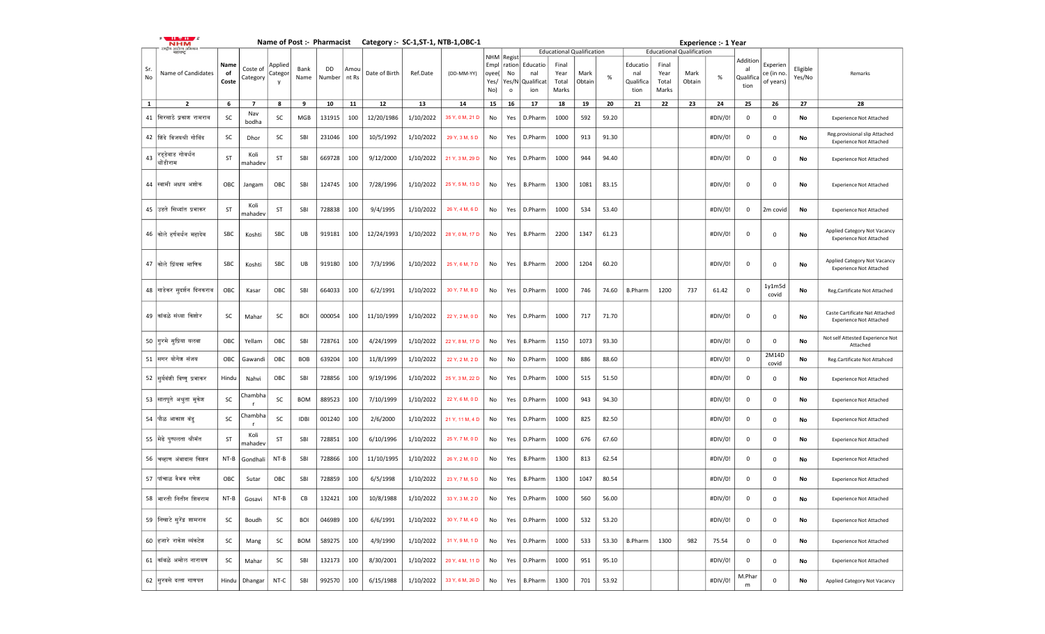|              | .<br><b>NHM</b>                 |            |                      |                    |              |              |               |               |           | Name of Post :- Pharmacist Category :- SC-1, ST-1, NTB-1, OBC-1 |               |                  |                        |                                  |        |       |                   |                                  |        | <b>Experience :- 1 Year</b> |                 |                        |                    |                                                                  |
|--------------|---------------------------------|------------|----------------------|--------------------|--------------|--------------|---------------|---------------|-----------|-----------------------------------------------------------------|---------------|------------------|------------------------|----------------------------------|--------|-------|-------------------|----------------------------------|--------|-----------------------------|-----------------|------------------------|--------------------|------------------------------------------------------------------|
|              | !ाष्ट्रीय आरोज्य अ<br>महाराष्ट् |            |                      |                    |              |              |               |               |           |                                                                 | NHM Regist    |                  |                        | <b>Educational Qualification</b> |        |       |                   | <b>Educational Qualification</b> |        |                             | Addition        |                        |                    |                                                                  |
| Sr.<br>No    | Name of Candidates              | Name<br>of | Coste of<br>Category | Applied<br>Categor | Bank<br>Name | DD<br>Number | Amou<br>nt Rs | Date of Birth | Ref.Date  | (DD-MM-YY)                                                      | Empl<br>oyee( | No               | ration Educatio<br>nal | Final<br>Year                    | Mark   | $\%$  | Educatio<br>nal   | Final<br>Year                    | Mark   | %                           | al<br>Qualifica | Experien<br>ce (in no. | Eligible<br>Yes/No | Remarks                                                          |
|              |                                 | Coste      |                      | y                  |              |              |               |               |           |                                                                 | Yes/<br>No)   | Yes/N<br>$\circ$ | Qualificat<br>ion      | Total<br>Marks                   | Obtain |       | Qualifica<br>tion | Total<br>Marks                   | Obtain |                             | tion            | of years)              |                    |                                                                  |
| $\mathbf{1}$ | $\overline{2}$                  | 6          | 7                    | 8                  | 9            | 10           | 11            | 12            | 13        | 14                                                              | 15            | 16               | 17                     | 18                               | 19     | 20    | 21                | 22                               | 23     | 24                          | 25              | 26                     | 27                 | 28                                                               |
| 41           | सिरसाठे प्रकाश रामराव           | SC         | Nav<br>bodha         | SC                 | MGB          | 131915       | 100           | 12/20/1986    | 1/10/2022 | 35 Y, 0 M, 21 D                                                 | No            | Yes              | D.Pharm                | 1000                             | 592    | 59.20 |                   |                                  |        | #DIV/0!                     | $\mathbf{0}$    | 0                      | No                 | <b>Experience Not Attached</b>                                   |
|              | 42   शिंदे विजयश्री गोविंद      | SC         | Dhor                 | SC                 | SBI          | 231046       | 100           | 10/5/1992     | 1/10/2022 | 29 Y, 3 M, 5 D                                                  | No            | Yes              | D.Pharm                | 1000                             | 913    | 91.30 |                   |                                  |        | #DIV/0!                     | 0               | 0                      | No                 | Reg.provisional slip Attached<br><b>Experience Not Attached</b>  |
| 43           | रडडेवाड गोवर्धन<br>धोंडीराम     | <b>ST</b>  | Koli<br>mahadev      | ST                 | SBI          | 669728       | 100           | 9/12/2000     | 1/10/2022 | 21 Y, 3 M, 29 D                                                 | No            | Yes              | D.Pharm                | 1000                             | 944    | 94.40 |                   |                                  |        | #DIV/0!                     | 0               | 0                      | No                 | <b>Experience Not Attached</b>                                   |
|              |                                 |            |                      |                    |              |              |               |               |           |                                                                 |               |                  |                        |                                  |        |       |                   |                                  |        |                             |                 |                        |                    |                                                                  |
|              | 44 स्वामी अक्षय अशोक            | OBC        | Jangam               | OBC                | SBI          | 124745       | 100           | 7/28/1996     | 1/10/2022 | 25 Y, 5 M, 13 D                                                 | No            | Yes              | B.Pharm                | 1300                             | 1081   | 83.15 |                   |                                  |        | #DIV/0!                     | $\mathbf{0}$    | 0                      | No                 | <b>Experience Not Attached</b>                                   |
|              | 45 उडते सिध्दांत प्रभाकर        | ST         | Koli<br>mahadev      | ST                 | SBI          | 728838       | 100           | 9/4/1995      | 1/10/2022 | 26 Y, 4 M, 6 D                                                  | No            | Yes              | D.Pharm                | 1000                             | 534    | 53.40 |                   |                                  |        | #DIV/0!                     | 0               | 2m covid               | No                 | <b>Experience Not Attached</b>                                   |
|              | 46 कोले हर्षवर्धन महादेव        | SBC        | Koshti               | SBC                | UB           | 919181       | 100           | 12/24/1993    | 1/10/2022 | 28 Y, 0 M, 17 D                                                 | No            | Yes              | B.Pharm                | 2200                             | 1347   | 61.23 |                   |                                  |        | #DIV/0!                     | $\mathbf{0}$    | 0                      | No                 | Applied Category Not Vacancy<br><b>Experience Not Attached</b>   |
|              |                                 |            |                      |                    |              |              |               |               |           |                                                                 |               |                  |                        |                                  |        |       |                   |                                  |        |                             |                 |                        |                    |                                                                  |
|              | 47 कोले प्रिंयका माणिक          | SBC        | Koshti               | SBC                | UB           | 919180       | 100           | 7/3/1996      | 1/10/2022 | 25 Y, 6 M, 7 D                                                  | No            | Yes              | <b>B.Pharm</b>         | 2000                             | 1204   | 60.20 |                   |                                  |        | #DIV/0!                     | 0               | 0                      | No                 | Applied Category Not Vacancy<br><b>Experience Not Attached</b>   |
|              | 48  गाडेकर सुदर्शन दिनकराव      | OBC        | Kasar                | OBC                | SBI          | 664033       | 100           | 6/2/1991      | 1/10/2022 | 30 Y, 7 M, 8 D                                                  | No            | Yes              | D.Pharm                | 1000                             | 746    | 74.60 | <b>B.Pharm</b>    | 1200                             | 737    | 61.42                       | $\mathbf{0}$    | 1y1m5d<br>covid        | No                 | Reg, Cartificate Not Attached                                    |
|              | 49  कांबळे संध्या किशोर         | SC         | Mahar                | SC                 | <b>BOI</b>   | 000054       | 100           | 11/10/1999    | 1/10/2022 | 22 Y, 2 M, 0 D                                                  | No            | Yes              | D.Pharm                | 1000                             | 717    | 71.70 |                   |                                  |        | #DIV/0!                     | $\mathbf 0$     | 0                      | No                 | Caste Cartificate Nat Attached<br><b>Experience Not Attached</b> |
|              |                                 |            |                      |                    |              |              |               |               |           |                                                                 |               |                  |                        |                                  |        |       |                   |                                  |        |                             |                 |                        |                    |                                                                  |
|              | 50  गुरमे सुप्रिया यलबा         | OBC        | Yellam               | OBC                | SBI          | 728761       | 100           | 4/24/1999     | 1/10/2022 | 22 Y, 8 M, 17 D                                                 | No            | Yes              | <b>B.Pharm</b>         | 1150                             | 1073   | 93.30 |                   |                                  |        | #DIV/0!                     | $\mathbf 0$     | 0<br>2M14D             | No                 | Not self Attested Experience Not<br>Attached                     |
|              | 51 सगर योगेश संजय               | OBC        | Gawandi              | OBC                | <b>BOB</b>   | 639204       | 100           | 11/8/1999     | 1/10/2022 | 22 Y, 2 M, 2 D                                                  | No            | No               | D.Pharm                | 1000                             | 886    | 88.60 |                   |                                  |        | #DIV/0!                     | $\mathbf{0}$    | covid                  | No                 | Reg.Cartificate Not Attahced                                     |
|              | 52 सुर्यवंशी विष्णू प्रभाकर     | Hindu      | Nahvi                | OBC                | SBI          | 728856       | 100           | 9/19/1996     | 1/10/2022 | 25 Y, 3 M, 22 D                                                 | No            | Yes              | D.Pharm                | 1000                             | 515    | 51.50 |                   |                                  |        | #DIV/0!                     | $\mathbf{0}$    | 0                      | No                 | <b>Experience Not Attached</b>                                   |
|              | 53 सातपूते अश्रुता मुकेश        | SC         | Chambha<br>r         | SC                 | <b>BOM</b>   | 889523       | 100           | 7/10/1999     | 1/10/2022 | 22 Y, 6 M, 0 D                                                  | No            | Yes              | D.Pharm                | 1000                             | 943    | 94.30 |                   |                                  |        | #DIV/0!                     | 0               | 0                      | No                 | <b>Experience Not Attached</b>                                   |
|              | 54  पौळ आकाश बंडू               | SC         | Chambha<br>r         | SC                 | <b>IDBI</b>  | 001240       | 100           | 2/6/2000      | 1/10/2022 | 21 Y, 11 M, 4 D                                                 | No            | Yes              | D.Pharm                | 1000                             | 825    | 82.50 |                   |                                  |        | #DIV/0!                     | $\mathbf{0}$    | 0                      | No                 | <b>Experience Not Attached</b>                                   |
|              | 55  मेढे पुष्पलता श्रीमंत       | ST         | Koli<br>mahadev      | ST                 | SBI          | 728851       | 100           | 6/10/1996     | 1/10/2022 | 25 Y, 7 M, 0 D                                                  | No            | Yes              | D.Pharm                | 1000                             | 676    | 67.60 |                   |                                  |        | #DIV/0!                     | 0               | 0                      | No                 | <b>Experience Not Attached</b>                                   |
|              | 56  चव्हाण अंबादास किशन         | $NT-B$     | Gondhali             | NT-B               | SBI          | 728866       | 100           | 11/10/1995    | 1/10/2022 | 26 Y, 2 M, 0 D                                                  | No            | Yes              | <b>B.Pharm</b>         | 1300                             | 813    | 62.54 |                   |                                  |        | #DIV/0!                     | $\mathbf{0}$    | 0                      | No                 | <b>Experience Not Attached</b>                                   |
|              | 57   पांचाळ वैभव गणेश           | OBC        | Sutar                | OBC                | SBI          | 728859       | 100           | 6/5/1998      | 1/10/2022 | 23 Y, 7 M, 5 D                                                  | No            | Yes              | B.Pharm                | 1300                             | 1047   | 80.54 |                   |                                  |        | #DIV/0!                     | $\mathbf{0}$    | 0                      | No                 | <b>Experience Not Attached</b>                                   |
|              | 58  भारती नितीन शिवराम          | NT-B       | Gosavi               | NT-B               | СB           | 132421       | 100           | 10/8/1988     | 1/10/2022 | 33 Y, 3 M, 2 D                                                  | No            | Yes              | D.Pharm                | 1000                             | 560    | 56.00 |                   |                                  |        | #DIV/0!                     | $\mathbf 0$     | $\mathbf 0$            | No                 | <b>Experience Not Attached</b>                                   |
|              | 59  निखाटे सुरेंद्र शामराव      | SC         | Boudh                | SC                 | <b>BOI</b>   | 046989       | 100           | 6/6/1991      | 1/10/2022 | 30 Y, 7 M, 4 D                                                  | No            | Yes              | D.Pharm                | 1000                             | 532    | 53.20 |                   |                                  |        | #DIV/0!                     | $\mathbf 0$     | 0                      | No                 | <b>Experience Not Attached</b>                                   |
|              | 60 हिजारे राकेश व्यंकटेश        | SC         | Mang                 | SC                 | <b>BOM</b>   | 589275       | 100           | 4/9/1990      | 1/10/2022 | 31 Y, 9 M, 1 D                                                  | No            | Yes              | D.Pharm                | 1000                             | 533    | 53.30 | <b>B.Pharm</b>    | 1300                             | 982    | 75.54                       | 0               | 0                      | No                 | <b>Experience Not Attached</b>                                   |
|              | 61  कांबळे अमोल नारायण          | SC         | Mahar                | SC                 | SBI          | 132173       | 100           | 8/30/2001     | 1/10/2022 | 20 Y, 4 M, 11 D                                                 | No            | Yes              | D.Pharm                | 1000                             | 951    | 95.10 |                   |                                  |        | #DIV/0!                     | 0               | 0                      | No                 | <b>Experience Not Attached</b>                                   |
|              | 62 सिरवसे दत्ता गाणपत           | Hindu      | Dhangar              | NT-C               | SBI          | 992570       | 100           | 6/15/1988     | 1/10/2022 | 33 Y, 6 M, 26 D                                                 | No            | Yes              | B.Pharm                | 1300                             | 701    | 53.92 |                   |                                  |        | #DIV/0!                     | M.Phar<br>m     | 0                      | No                 | Applied Category Not Vacancy                                     |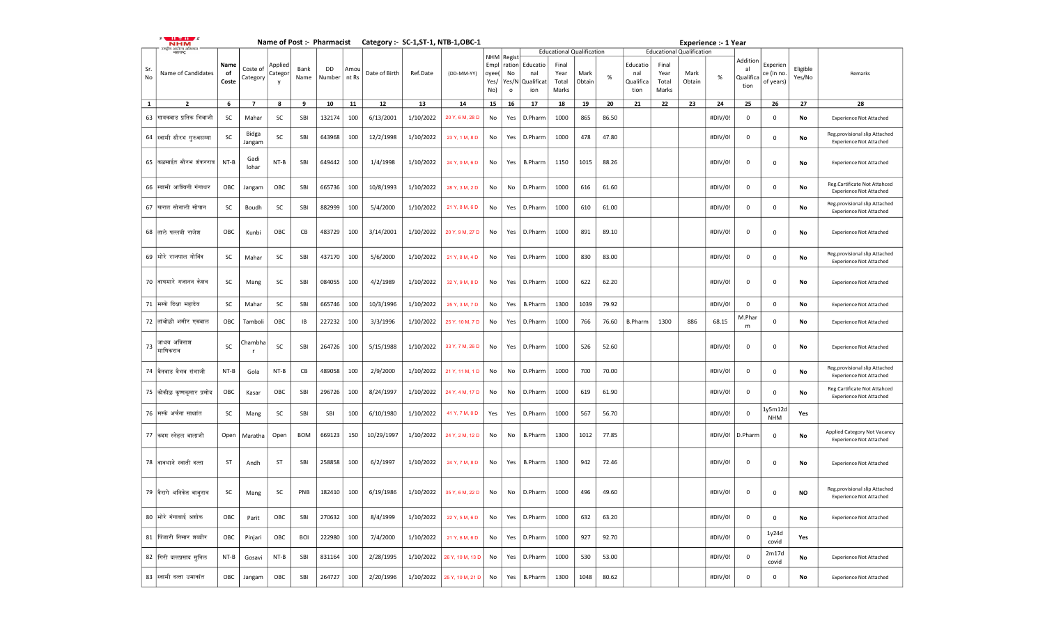|           | $\cdots$ $\pi$ $\cdots$<br><b>NHM</b> |                     |                      |                         |              |                      |      |               |           | Name of Post :- Pharmacist Category :- SC-1, ST-1, NTB-1, OBC-1 |                              |                                                |                                      |                                  |                |       |                                      |                                 |                                  | <b>Experience :- 1 Year</b> |                                     |                                    |                    |                                                                 |
|-----------|---------------------------------------|---------------------|----------------------|-------------------------|--------------|----------------------|------|---------------|-----------|-----------------------------------------------------------------|------------------------------|------------------------------------------------|--------------------------------------|----------------------------------|----------------|-------|--------------------------------------|---------------------------------|----------------------------------|-----------------------------|-------------------------------------|------------------------------------|--------------------|-----------------------------------------------------------------|
|           | राष्ट्रीय आरोज्य अभि<br>महाराष्ट्     |                     |                      |                         |              |                      |      |               |           |                                                                 |                              |                                                |                                      | <b>Educational Qualification</b> |                |       |                                      |                                 | <b>Educational Qualification</b> |                             |                                     |                                    |                    |                                                                 |
| Sr.<br>No | Name of Candidates                    | Name<br>of<br>Coste | Coste of<br>Category | Applied<br>Categoı<br>v | Bank<br>Name | DD<br>Number   nt Rs | Amou | Date of Birth | Ref.Date  | (DD-MM-YY)                                                      | Empl<br>oyee(<br>Yes/<br>No) | NHM Regist<br>ration<br>No<br>Yes/N<br>$\circ$ | Educatio<br>nal<br>Qualificat<br>ion | Final<br>Year<br>Total<br>Marks  | Mark<br>Obtain | $\%$  | Educatio<br>nal<br>Qualifica<br>tion | Final<br>Year<br>Total<br>Marks | Mark<br>Obtain                   | $\%$                        | Addition<br>al<br>Qualifica<br>tion | Experien<br>ce (in no<br>of years) | Eligible<br>Yes/No | Remarks                                                         |
| 1         | $\mathbf{2}$                          | 6                   | 7                    | 8                       | 9            | 10                   | 11   | 12            | 13        | 14                                                              | 15                           | 16                                             | 17                                   | 18                               | 19             | 20    | 21                                   | 22                              | 23                               | 24                          | 25                                  | 26                                 | 27                 | 28                                                              |
|           | 63 गायकवाड प्रतिक भिवाजी              | SC                  | Mahar                | SC                      | SBI          | 132174               | 100  | 6/13/2001     | 1/10/2022 | 20 Y, 6 M, 28 D                                                 | No                           | Yes                                            | D.Pharm                              | 1000                             | 865            | 86.50 |                                      |                                 |                                  | #DIV/0!                     | 0                                   | $\mathbf 0$                        | No                 | <b>Experience Not Attached</b>                                  |
|           | 64 स्वामी सौरभ गुरुवसय्या             | SC                  | Bidga<br>Jangam      | SC                      | SBI          | 643968               | 100  | 12/2/1998     | 1/10/2022 | 23 Y, 1 M, 8 D                                                  | No                           | Yes                                            | D.Pharm                              | 1000                             | 478            | 47.80 |                                      |                                 |                                  | #DIV/0!                     | $\mathbf{0}$                        | 0                                  | No                 | Reg.provisional slip Attached<br><b>Experience Not Attached</b> |
|           | 65 किळसाईत सौरभ शंकरराव               | NT-B                | Gadi<br>lohar        | NT-B                    | SBI          | 649442               | 100  | 1/4/1998      | 1/10/2022 | 24 Y, 0 M, 6 D                                                  | No                           | Yes                                            | <b>B.Pharm</b>                       | 1150                             | 1015           | 88.26 |                                      |                                 |                                  | #DIV/0!                     | $\mathbf 0$                         | 0                                  | No                 | <b>Experience Not Attached</b>                                  |
|           | 66 स्वामी आश्विनी गंगाधर              | OBC                 | Jangam               | OBC                     | SBI          | 665736               | 100  | 10/8/1993     | 1/10/2022 | 28 Y, 3 M, 2 D                                                  | No                           | No                                             | D.Pharm                              | 1000                             | 616            | 61.60 |                                      |                                 |                                  | #DIV/0!                     | $\mathbf 0$                         | 0                                  | No                 | Reg.Cartificate Not Attahced<br><b>Experience Not Attached</b>  |
|           | 67  खरात सोनाली सोपान                 | SC                  | Boudh                | <b>SC</b>               | SBI          | 882999               | 100  | 5/4/2000      | 1/10/2022 | 21 Y, 8 M, 6 D                                                  | No                           | Yes                                            | D.Pharm                              | 1000                             | 610            | 61.00 |                                      |                                 |                                  | #DIV/0!                     | $\mathbf{0}$                        | 0                                  | No                 | Reg.provisional slip Attached<br><b>Experience Not Attached</b> |
|           | 68  ताले पल्लवी राजेश                 | OBC                 | Kunbi                | OBC                     | CB           | 483729               | 100  | 3/14/2001     | 1/10/2022 | 20 Y, 9 M, 27 D                                                 | No                           | Yes                                            | D.Pharm                              | 1000                             | 891            | 89.10 |                                      |                                 |                                  | #DIV/0!                     | $\mathbf 0$                         | 0                                  | No                 | <b>Experience Not Attached</b>                                  |
|           | 69 मोरे राजपाल गोविंद                 | SC                  | Mahar                | SC                      | SBI          | 437170               | 100  | 5/6/2000      | 1/10/2022 | 21 Y, 8 M, 4 D                                                  | No                           | Yes                                            | D.Pharm                              | 1000                             | 830            | 83.00 |                                      |                                 |                                  | #DIV/0!                     | $\mathbf 0$                         | 0                                  | No                 | Reg.provisional slip Attached<br><b>Experience Not Attached</b> |
|           | 70  वाघमारे गजानन केशव                | SC                  | Mang                 | SC                      | SBI          | 084055               | 100  | 4/2/1989      | 1/10/2022 | 32 Y, 9 M, 8 D                                                  | No                           | Yes                                            | D.Pharm                              | 1000                             | 622            | 62.20 |                                      |                                 |                                  | #DIV/0!                     | $\mathbf 0$                         | 0                                  | No                 | <b>Experience Not Attached</b>                                  |
|           | 71 मिस्के दिक्षा महादेव               | SC                  | Mahar                | SC                      | SBI          | 665746               | 100  | 10/3/1996     | 1/10/2022 | 25 Y, 3 M, 7 D                                                  | No                           | Yes                                            | <b>B.Pharm</b>                       | 1300                             | 1039           | 79.92 |                                      |                                 |                                  | #DIV/0!                     | $\mathbf 0$                         | $\mathbf 0$                        | No                 | <b>Experience Not Attached</b>                                  |
|           | 72 तांबोळी अमीर एकबाल                 | OBC                 | Tamboli              | OBC                     | IB           | 227232               | 100  | 3/3/1996      | 1/10/2022 | 25 Y, 10 M, 7 D                                                 | No                           | Yes                                            | D.Pharm                              | 1000                             | 766            | 76.60 | <b>B.Pharm</b>                       | 1300                            | 886                              | 68.15                       | M.Phar<br>m                         | $\Omega$                           | No                 | <b>Experience Not Attached</b>                                  |
| 73        | जाधव अविनाश<br> माणिकराव              | SC                  | Chambha              | SC                      | SBI          | 264726               | 100  | 5/15/1988     | 1/10/2022 | 33 Y, 7 M, 26 D                                                 | No                           | Yes                                            | D.Pharm                              | 1000                             | 526            | 52.60 |                                      |                                 |                                  | #DIV/0!                     | $\mathbf 0$                         | 0                                  | No                 | <b>Experience Not Attached</b>                                  |
|           | 74  बैनवाड वैभव संभाजी                | NT-B                | Gola                 | NT-B                    | CВ           | 489058               | 100  | 2/9/2000      | 1/10/2022 | 21 Y, 11 M, 1 D                                                 | No                           | No                                             | D.Pharm                              | 1000                             | 700            | 70.00 |                                      |                                 |                                  | #DIV/0!                     | $\mathbf 0$                         | 0                                  | No                 | Reg.provisional slip Attached<br><b>Experience Not Attached</b> |
|           | 75 कोिकीळ कृष्णकुमार प्रमोद           | OBC                 | Kasar                | OBC                     | SBI          | 296726               | 100  | 8/24/1997     | 1/10/2022 | 24 Y, 4 M, 17 D                                                 | No                           | No                                             | D.Pharm                              | 1000                             | 619            | 61.90 |                                      |                                 |                                  | #DIV/0!                     | $\mathbf 0$                         | $\mathbf 0$                        | No                 | Reg.Cartificate Not Attahced<br><b>Experience Not Attached</b>  |
|           | 76  मस्के अर्चना साक्षांत             | SC                  | Mang                 | SC                      | SBI          | SBI                  | 100  | 6/10/1980     | 1/10/2022 | 41 Y, 7 M, 0 D                                                  | Yes                          | Yes                                            | D.Pharm                              | 1000                             | 567            | 56.70 |                                      |                                 |                                  | #DIV/0!                     | $\mathbf 0$                         | ly5m12d<br><b>NHM</b>              | Yes                |                                                                 |
|           | 77  कदम स्नेहल बालाजी                 | Open                | Maratha              | Open                    | <b>BOM</b>   | 669123               | 150  | 10/29/1997    | 1/10/2022 | 24 Y, 2 M, 12 D                                                 | No                           | No                                             | <b>B.Pharm</b>                       | 1300                             | 1012           | 77.85 |                                      |                                 |                                  | #DIV/0!                     | D.Pharm                             | 0                                  | No                 | Applied Category Not Vacancy<br><b>Experience Not Attached</b>  |
|           | 78  वावधाने स्वाती दत्ता              | ST                  | Andh                 | ST                      | SBI          | 258858               | 100  | 6/2/1997      | 1/10/2022 | 24 Y, 7 M, 8 D                                                  | No                           | Yes                                            | <b>B.Pharm</b>                       | 1300                             | 942            | 72.46 |                                      |                                 |                                  | #DIV/0!                     | $\mathbf 0$                         | 0                                  | No                 | <b>Experience Not Attached</b>                                  |
|           | 79  वैरागे अनिकेत बाबुराव             | SC                  | Mang                 | SC                      | PNB          | 182410               | 100  | 6/19/1986     | 1/10/2022 | 35 Y, 6 M, 22 D                                                 | No                           | No                                             | D.Pharm                              | 1000                             | 496            | 49.60 |                                      |                                 |                                  | #DIV/0!                     | $\mathbf 0$                         | $\Omega$                           | <b>NO</b>          | Reg.provisional slip Attached<br><b>Experience Not Attached</b> |
|           | 80  मोरे गंगावाई अशोक                 | OBC                 | Parit                | OBC                     | SBI          | 270632               | 100  | 8/4/1999      | 1/10/2022 | 22 Y, 5 M, 6 D                                                  | No                           | Yes                                            | D.Pharm                              | 1000                             | 632            | 63.20 |                                      |                                 |                                  | #DIV/0!                     | $\mathbf 0$                         | 0                                  | No                 | <b>Experience Not Attached</b>                                  |
|           | 81 पिंजारी निसार शब्बीर               | OBC                 | Pinjari              | OBC                     | <b>BOI</b>   | 222980               | 100  | 7/4/2000      | 1/10/2022 | 21 Y, 6 M, 6 D                                                  | No                           |                                                | Yes   D.Pharm                        | 1000                             | 927            | 92.70 |                                      |                                 |                                  | #DIV/0!                     | $\mathbf 0$                         | 1y24d<br>covid                     | Yes                |                                                                 |
|           | 82 गिरी दत्तप्रसाद सूनिल              | NT-B                | Gosavi               | NT-B                    | SBI          | 831164               | 100  | 2/28/1995     | 1/10/2022 | 26 Y, 10 M, 13 D                                                | No                           | Yes                                            | D.Pharm                              | 1000                             | 530            | 53.00 |                                      |                                 |                                  | #DIV/0!                     | 0                                   | 2m17d<br>covid                     | No                 | <b>Experience Not Attached</b>                                  |
|           | 83 स्वामी दत्ता उमाकांत               | OBC                 | Jangam               | OBC                     | SBI          | 264727               | 100  | 2/20/1996     | 1/10/2022 | 25 Y, 10 M, 21 D                                                | No                           | Yes                                            | <b>B.Pharm</b>                       | 1300                             | 1048           | 80.62 |                                      |                                 |                                  | #DIV/0!                     | $\mathbf 0$                         | 0                                  | No                 | <b>Experience Not Attached</b>                                  |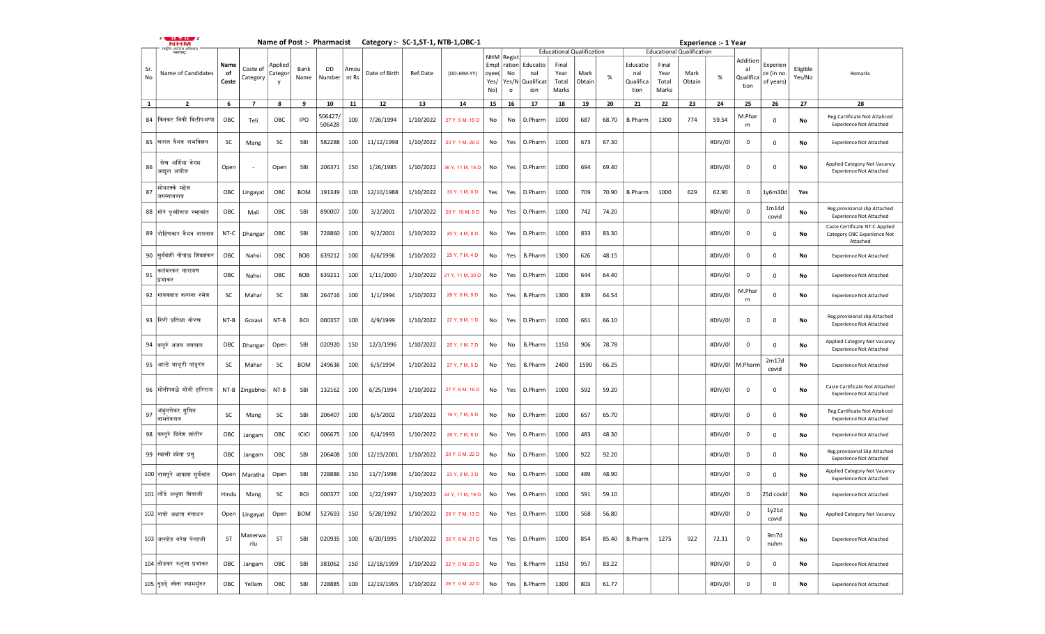|              | .<br><b>NHM</b>                 |                     |                      |                         |              |                   |               | Name of Post :- Pharmacist Category :- SC-1, ST-1, NTB-1, OBC-1 |           |                  |                                                    |                                  |                                      |                                  |                |       |                                      |                                 |                                  | <b>Experience :- 1 Year</b> |                                     |                                    |                    |                                                                           |
|--------------|---------------------------------|---------------------|----------------------|-------------------------|--------------|-------------------|---------------|-----------------------------------------------------------------|-----------|------------------|----------------------------------------------------|----------------------------------|--------------------------------------|----------------------------------|----------------|-------|--------------------------------------|---------------------------------|----------------------------------|-----------------------------|-------------------------------------|------------------------------------|--------------------|---------------------------------------------------------------------------|
|              | ़ीय आरोज्य ओ<br>महाराष्ट्       |                     |                      |                         |              |                   |               |                                                                 |           |                  |                                                    |                                  |                                      | <b>Educational Qualification</b> |                |       |                                      |                                 | <b>Educational Qualification</b> |                             |                                     |                                    |                    |                                                                           |
| Sr.<br>No    | Name of Candidates              | Name<br>of<br>Coste | Coste of<br>Category | Applied<br>Categor<br>v | Bank<br>Name | DD<br>Number      | Amou<br>nt Rs | Date of Birth                                                   | Ref.Date  | (DD-MM-YY)       | <b>NHM</b> Regist<br>Empl<br>loyee(<br>Yes/<br>No) | ration<br>No<br>Yes/N<br>$\circ$ | Educatio<br>nal<br>Qualificat<br>ion | Final<br>Year<br>Total<br>Marks  | Mark<br>Obtain | $\%$  | Educatio<br>nal<br>Qualifica<br>tion | Final<br>Year<br>Total<br>Marks | Mark<br>Obtain                   | $\%$                        | Addition<br>al<br>Qualifica<br>tion | Experien<br>ce (in no<br>of years) | Eligible<br>Yes/No | Remarks                                                                   |
| $\mathbf{1}$ | $\mathbf{2}$                    | 6                   | 7                    | 8                       | 9            | 10                | 11            | 12                                                              | 13        | 14               | 15                                                 | 16                               | 17                                   | 18                               | 19             | 20    | 21                                   | 22                              | 23                               | 24                          | 25                                  | 26                                 | 27                 | 28                                                                        |
| 84           | किनकर विकी दिलीपअप्पा           | OBC                 | Teli                 | OBC                     | <b>IPO</b>   | 506427,<br>506428 | 100           | 7/26/1994                                                       | 1/10/2022 | 27 Y, 5 M, 15 D  | No                                                 | No                               | D.Pharm                              | 1000                             | 687            | 68.70 | <b>B.Pharm</b>                       | 1300                            | 774                              | 59.54                       | M.Phar<br>m                         | 0                                  | No                 | Reg.Cartificate Not Attahced<br><b>Experience Not Attached</b>            |
|              | 85 खिरात वैभव रामकिशन           | <b>SC</b>           | Mang                 | SC                      | SBI          | 582288            | 100           | 11/12/1998                                                      | 1/10/2022 | 23 Y, 1 M, 29 D  | No                                                 | Yes                              | D.Pharm                              | 1000                             | 673            | 67.30 |                                      |                                 |                                  | #DIV/0!                     | 0                                   | $\mathbf 0$                        | No                 | <b>Experience Not Attached</b>                                            |
| 86           | शेख अर्शिया बेगम<br>अब्दुल अजीज | Open                |                      | Open                    | SBI          | 206371            | 150           | 1/26/1985                                                       | 1/10/2022 | 36 Y, 11 M, 15 D | No                                                 | Yes                              | D.Pharm                              | 1000                             | 694            | 69.40 |                                      |                                 |                                  | #DIV/0!                     | 0                                   | $\mathbf 0$                        | No                 | Applied Category Not Vacancy<br><b>Experience Not Attached</b>            |
| 87           | सोनटक्के महेश<br>जगन्नाथराव     | OBC                 | Lingayat             | OBC                     | <b>BOM</b>   | 191349            | 100           | 12/10/1988                                                      | 1/10/2022 | 33 Y, 1 M, 0 D   | Yes                                                | Yes                              | D.Pharm                              | 1000                             | 709            | 70.90 | <b>B.Pharm</b>                       | 1000                            | 629                              | 62.90                       | 0                                   | 1y6m30d                            | Yes                |                                                                           |
|              | 88  गोरे पृथ्वीराज रमाकांत      | OBC                 | Mali                 | OBC                     | SBI          | 890007            | 100           | 3/2/2001                                                        | 1/10/2022 | 20 Y, 10 M, 8 D  | No                                                 | Yes                              | D.Pharm                              | 1000                             | 742            | 74.20 |                                      |                                 |                                  | #DIV/0!                     | $\mathbf{0}$                        | 1m14d<br>covid                     | No                 | Reg.provisional slip Attached<br><b>Experience Not Attached</b>           |
|              | 89  रोहिणकार वैभव नागनाथ        | NT-C                | Dhangar              | OBC                     | SBI          | 728860            | 100           | 9/2/2001                                                        | 1/10/2022 | 20 Y, 4 M, 8 D   | No                                                 | Yes                              | D.Pharm                              | 1000                             | 833            | 83.30 |                                      |                                 |                                  | #DIV/0!                     | 0                                   | 0                                  | No                 | Caste Certificate NT-C Applied<br>Category OBC Experience Not<br>Attached |
|              | 90 सूर्यवंशी गोपाळ शिवशंकर      | OBC                 | Nahvi                | OBC                     | <b>BOB</b>   | 639212            | 100           | 6/6/1996                                                        | 1/10/2022 | 25 Y, 7 M, 4 D   | No                                                 | Yes                              | <b>B.Pharm</b>                       | 1300                             | 626            | 48.15 |                                      |                                 |                                  | #DIV/0!                     | $\mathbf{0}$                        | 0                                  | No                 | <b>Experience Not Attached</b>                                            |
| 91           | कलंबरकर नारायण<br>प्रभाकर       | OBC                 | Nahvi                | OBC                     | <b>BOB</b>   | 639211            | 100           | 1/11/2000                                                       | 1/10/2022 | 21 Y, 11 M, 30 D | No                                                 | Yes                              | D.Pharm                              | 1000                             | 644            | 64.40 |                                      |                                 |                                  | #DIV/0!                     | $\mathbf 0$                         | 0                                  | No                 | <b>Experience Not Attached</b>                                            |
|              | 92 गायकवाड कल्पना रमेश          | SC                  | Mahar                | SC                      | SBI          | 264716            | 100           | 1/1/1994                                                        | 1/10/2022 | 28 Y, 0 M, 9 D   | No                                                 | Yes                              | B.Pharm                              | 1300                             | 839            | 64.54 |                                      |                                 |                                  | #DIV/0!                     | M.Phar<br>m                         | $\mathbf 0$                        | No                 | <b>Experience Not Attached</b>                                            |
|              | 93  गिरी प्रतिक्षा गोरख         | $NT-B$              | Gosavi               | NT-B                    | <b>BOI</b>   | 000357            | 100           | 4/9/1999                                                        | 1/10/2022 | 22 Y, 9 M, 1 D   | No                                                 | Yes                              | D.Pharm                              | 1000                             | 661            | 66.10 |                                      |                                 |                                  | #DIV/0!                     | 0                                   | 0                                  | No                 | Reg.provisional slip Attached<br><b>Experience Not Attached</b>           |
|              | 94  बलूरे अजय जयपाल             | OBC                 | Dhangar              | Open                    | SBI          | 020920            | 150           | 12/3/1996                                                       | 1/10/2022 | 25 Y, 1 M, 7 D   | No                                                 | No                               | <b>B.Pharm</b>                       | 1150                             | 906            | 78.78 |                                      |                                 |                                  | #DIV/0!                     | $\mathbf{0}$                        | 0                                  | No                 | Applied Category Not Vacancy<br><b>Experience Not Attached</b>            |
|              | 95  आल्टे माधूरी पांडूरंग       | SC                  | Mahar                | SC                      | <b>BOM</b>   | 249636            | 100           | 6/5/1994                                                        | 1/10/2022 | 27 Y, 7 M, 5 D   | No                                                 | Yes                              | <b>B.Pharm</b>                       | 2400                             | 1590           | 66.25 |                                      |                                 |                                  | #DIV/0!                     | M.Pharm                             | 2m17d<br>covid                     | No                 | <b>Experience Not Attached</b>                                            |
|              | 96  मोतीपवळे मोनी हरिराम        | NT-B                | Zingabhoi            | NT-B                    | SBI          | 132162            | 100           | 6/25/1994                                                       | 1/10/2022 | 27 Y, 6 M, 16 D  | No                                                 | Yes                              | D.Pharm                              | 1000                             | 592            | 59.20 |                                      |                                 |                                  | #DIV/0!                     | 0                                   | 0                                  | No                 | Caste Cartificate Not Attached<br><b>Experience Not Attached</b>          |
| 97           | अंबुलगेकर सुमित<br>नामदेवराव    | SC                  | Mang                 | SC                      | SBI          | 206407            | 100           | 6/5/2002                                                        | 1/10/2022 | 19 Y, 7 M, 5 D   | No                                                 | No                               | D.Pharm                              | 1000                             | 657            | 65.70 |                                      |                                 |                                  | #DIV/0!                     | $\overline{0}$                      | 0                                  | No                 | Reg.Cartificate Not Attahced<br><b>Experience Not Attached</b>            |
|              | 98 किस्तूरे दिनेश शांतीर        | ОВС                 | Jangam               | OBC                     | ICICI        | 006675            | 100           | 6/4/1993                                                        | 1/10/2022 | 28 Y, 7 M, 6 D   | No                                                 | Yes                              | D.Pharm                              | 1000                             | 483            | 48.30 |                                      |                                 |                                  | #DIV/0!                     | 0                                   | $\mathbf 0$                        | No                 | <b>Experience Not Attached</b>                                            |
|              | 99 स्वामी श्वेता प्रभ           | OBC                 | Jangam               | OBC                     | SBI          | 206408            | 100           | 12/19/2001                                                      | 1/10/2022 | 20 Y, 0 M, 22 D  | No                                                 | No                               | D.Pharm                              | 1000                             | 922            | 92.20 |                                      |                                 |                                  | #DIV/0!                     | $\mathbf{0}$                        | $\mathbf 0$                        | No                 | Reg.provisional Slip Attached<br><b>Experience Not Attached</b>           |
|              | 100 रामपुरे आकाश सुर्यकांत      | Open                | Maratha              | Open                    | SBI          | 728886            | 150           | 11/7/1998                                                       | 1/10/2022 | 23 Y, 2 M, 3 D   | No                                                 | No                               | D.Pharm                              | 1000                             | 489            | 48.90 |                                      |                                 |                                  | #DIV/0!                     | $\mathbf{0}$                        | 0                                  | No                 | Applied Category Not Vacancy<br><b>Experience Not Attached</b>            |
|              | 101 लोंढे अश्रवा शिवाजी         | Hindu               | Mang                 | SC                      | <b>BOI</b>   | 000377            | 100           | 1/22/1997                                                       | 1/10/2022 | 24 Y, 11 M, 19 D | No                                                 | Yes                              | D.Pharm                              | 1000                             | 591            | 59.10 |                                      |                                 |                                  | #DIV/0!                     | 0                                   | 25d covid                          | No                 | <b>Experience Not Attached</b>                                            |
|              | 102 राघो अक्षता गंगाधर          | Open                | Lingayat             | Open                    | <b>BOM</b>   | 527693            | 150           | 5/28/1992                                                       | 1/10/2022 | 29 Y, 7 M, 13 D  | No                                                 | Yes                              | D.Pharm                              | 1000                             | 568            | 56.80 |                                      |                                 |                                  | #DIV/0!                     | $\mathbf 0$                         | 1y21d<br>covid                     | No                 | Applied Category Not Vacancy                                              |
|              | 103 जल्लोड नरेश पेन्टाजी        | ST                  | Manerwa<br>rlu       | ST                      | SBI          | 020935            | 100           | 6/20/1995                                                       | 1/10/2022 | 26 Y, 6 M, 21 D  | Yes                                                | Yes                              | D.Pharm                              | 1000                             | 854            | 85.40 | <b>B.Pharm</b>                       | 1275                            | 922                              | 72.31                       | $\overline{0}$                      | 9m7d<br>nuhm                       | No                 | <b>Experience Not Attached</b>                                            |
|              | 104 तोडकर रुतुजा प्रभाकर        | OBC                 | Jangam               | OBC                     | SBI          | 381062            | 150           | 12/18/1999                                                      | 1/10/2022 | 22 Y, 0 M, 23 D  | No                                                 | Yes                              | <b>B.Pharm</b>                       | 1150                             | 957            | 83.22 |                                      |                                 |                                  | #DIV/0!                     | $\overline{0}$                      | 0                                  | No                 | <b>Experience Not Attached</b>                                            |
|              | 105 दुडडे श्वेता श्यामसुंदर     | OBC                 | Yellam               | OBC                     | SBI          | 728885            | 100           | 12/19/1995                                                      | 1/10/2022 | 26 Y, 0 M, 22 D  | No                                                 | Yes                              | <b>B.Pharm</b>                       | 1300                             | 803            | 61.77 |                                      |                                 |                                  | #DIV/0!                     | $\mathbf{0}$                        | 0                                  | No                 | <b>Experience Not Attached</b>                                            |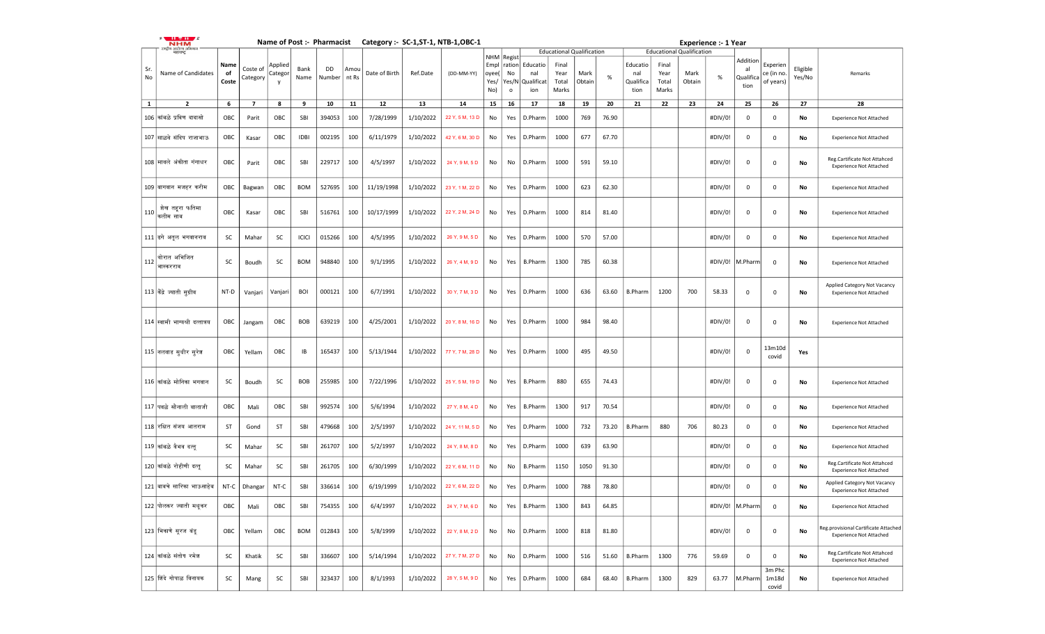|              | $\cdots$ $\cdots$<br><b>NHM</b>                                  |                     |                      |                         |              |                             |      | Name of Post :- Pharmacist Category :- SC-1, ST-1, NTB-1, OBC-1 |           |                 |                              |                                                |                                      |                                                                     |                |       |                                      |                                 |                                                    | <b>Experience :- 1 Year</b> |                                     |                                    |                    |                                                                        |
|--------------|------------------------------------------------------------------|---------------------|----------------------|-------------------------|--------------|-----------------------------|------|-----------------------------------------------------------------|-----------|-----------------|------------------------------|------------------------------------------------|--------------------------------------|---------------------------------------------------------------------|----------------|-------|--------------------------------------|---------------------------------|----------------------------------------------------|-----------------------------|-------------------------------------|------------------------------------|--------------------|------------------------------------------------------------------------|
| Sr.<br>No    | .<br>राष्ट्रीय आरोज्य अभियान<br>महाराष्ट्र<br>Name of Candidates | Name<br>of<br>Coste | Coste of<br>Category | Applied<br>Categor<br>v | Bank<br>Name | <b>DD</b><br>Number   nt Rs | Amou | Date of Birth                                                   | Ref.Date  | (DD-MM-YY)      | Empl<br>oyee(<br>Yes/<br>No) | NHM Regist<br>ration<br>No<br>Yes/N<br>$\circ$ | Educatio<br>nal<br>Qualificat<br>ion | <b>Educational Qualification</b><br>Final<br>Year<br>Total<br>Marks | Mark<br>Obtain | $\%$  | Educatio<br>nal<br>Qualifica<br>tion | Final<br>Year<br>Total<br>Marks | <b>Educational Qualification</b><br>Mark<br>Obtain | %                           | Addition<br>al<br>Qualifica<br>tion | Experien<br>ce (in no<br>of years) | Eligible<br>Yes/No | Remarks                                                                |
| $\mathbf{1}$ | $\mathbf{2}$                                                     | 6                   | $\overline{7}$       | 8                       | 9            | 10                          | 11   | 12                                                              | 13        | 14              | 15                           | 16                                             | 17                                   | 18                                                                  | 19             | 20    | 21                                   | 22                              | 23                                                 | 24                          | 25                                  | 26                                 | 27                 | 28                                                                     |
|              | 106 कांबळे प्रविण दादासो                                         | ОВС                 | Parit                | OBC                     | SBI          | 394053                      | 100  | 7/28/1999                                                       | 1/10/2022 | 22 Y, 5 M, 13 D | No                           | Yes                                            | D.Pharm                              | 1000                                                                | 769            | 76.90 |                                      |                                 |                                                    | #DIV/0!                     | $\mathbf 0$                         | 0                                  | No                 | <b>Experience Not Attached</b>                                         |
|              | 107 साळवे संदिप राजाभाऊ                                          | OBC                 | Kasar                | OBC                     | <b>IDBI</b>  | 002195                      | 100  | 6/11/1979                                                       | 1/10/2022 | 42 Y, 6 M, 30 D | No                           | Yes                                            | D.Pharm                              | 1000                                                                | 677            | 67.70 |                                      |                                 |                                                    | #DIV/0!                     | $\mathbf 0$                         | 0                                  | No                 | <b>Experience Not Attached</b>                                         |
|              | 108 मावले अंकीता गंगाधर                                          | OBC                 | Parit                | OBC                     | SBI          | 229717                      | 100  | 4/5/1997                                                        | 1/10/2022 | 24 Y, 9 M, 5 D  | No                           | No                                             | D.Pharm                              | 1000                                                                | 591            | 59.10 |                                      |                                 |                                                    | #DIV/0!                     | $\mathbf 0$                         | 0                                  | No                 | Reg.Cartificate Not Attahced<br><b>Experience Not Attached</b>         |
|              | 109 बागवान मजहर करीम                                             | OBC                 | Bagwan               | OBC                     | <b>BOM</b>   | 527695                      | 100  | 11/19/1998                                                      | 1/10/2022 | 23 Y, 1 M, 22 D | No                           | Yes                                            | D.Pharm                              | 1000                                                                | 623            | 62.30 |                                      |                                 |                                                    | #DIV/0!                     | $\mathbf 0$                         | 0                                  | No                 | <b>Experience Not Attached</b>                                         |
| 110          | शेख तहरा फतिमा<br>कलीम साब                                       | OBC                 | Kasar                | OBC                     | SBI          | 516761                      | 100  | 10/17/1999                                                      | 1/10/2022 | 22 Y, 2 M, 24 D | No                           | Yes                                            | D.Pharm                              | 1000                                                                | 814            | 81.40 |                                      |                                 |                                                    | #DIV/0!                     | $\mathbf 0$                         | $\mathsf 0$                        | No                 | <b>Experience Not Attached</b>                                         |
|              | 111 ढगे अतूल भगवानराव                                            | SC                  | Mahar                | SC                      | ICICI        | 015266                      | 100  | 4/5/1995                                                        | 1/10/2022 | 26 Y, 9 M, 5 D  | No                           | Yes                                            | D.Pharm                              | 1000                                                                | 570            | 57.00 |                                      |                                 |                                                    | #DIV/0!                     | $\mathbf 0$                         | 0                                  | No                 | <b>Experience Not Attached</b>                                         |
| 112          | थारात अभिजित<br>भास्करराव                                        | SC                  | Boudh                | SC                      | <b>BOM</b>   | 948840                      | 100  | 9/1/1995                                                        | 1/10/2022 | 26 Y, 4 M, 9 D  | No                           | Yes                                            | <b>B.Pharm</b>                       | 1300                                                                | 785            | 60.38 |                                      |                                 |                                                    | #DIV/0!                     | M.Pharm                             | $\mathbf 0$                        | No                 | <b>Experience Not Attached</b>                                         |
|              | 113 केंद्रे ज्याती सूग्रीव                                       | NT-D                | Vanjari              | Vanjari                 | <b>BOI</b>   | 000121                      | 100  | 6/7/1991                                                        | 1/10/2022 | 30 Y, 7 M, 3 D  | No                           | Yes                                            | D.Pharm                              | 1000                                                                | 636            | 63.60 | <b>B.Pharm</b>                       | 1200                            | 700                                                | 58.33                       | $\mathbf 0$                         | 0                                  | No                 | Applied Category Not Vacancy<br><b>Experience Not Attached</b>         |
|              | 114 स्वामी भाग्यश्री दत्तात्रय                                   | OBC                 | Jangam               | OBC                     | BOB          | 639219                      | 100  | 4/25/2001                                                       | 1/10/2022 | 20 Y, 8 M, 16 D | No                           | Yes                                            | D.Pharm                              | 1000                                                                | 984            | 98.40 |                                      |                                 |                                                    | #DIV/0!                     | 0                                   | 0                                  | No                 | <b>Experience Not Attached</b>                                         |
|              | 115 नलवाड सुधीर सूरेश                                            | OBC                 | Yellam               | OBC                     | IB           | 165437                      | 100  | 5/13/1944                                                       | 1/10/2022 | 77 Y, 7 M, 28 D | No                           | Yes                                            | D.Pharm                              | 1000                                                                | 495            | 49.50 |                                      |                                 |                                                    | #DIV/0!                     | $\mathbf 0$                         | 13m10d<br>covid                    | Yes                |                                                                        |
|              | 116 कांबळे मोनिका भगवान                                          | SC                  | Boudh                | <b>SC</b>               | <b>BOB</b>   | 255985                      | 100  | 7/22/1996                                                       | 1/10/2022 | 25 Y, 5 M, 19 D | No                           | Yes                                            | <b>B.Pharm</b>                       | 880                                                                 | 655            | 74.43 |                                      |                                 |                                                    | #DIV/0!                     | $\mathbf 0$                         | $\mathsf 0$                        | No                 | <b>Experience Not Attached</b>                                         |
|              | 117 पवळे सोनाली बालाजी                                           | OBC                 | Mali                 | OBC                     | SBI          | 992574                      | 100  | 5/6/1994                                                        | 1/10/2022 | 27 Y, 8 M, 4 D  | No                           | Yes                                            | <b>B.Pharm</b>                       | 1300                                                                | 917            | 70.54 |                                      |                                 |                                                    | #DIV/0!                     | $\mathbf 0$                         | 0                                  | No                 | <b>Experience Not Attached</b>                                         |
|              | 118 रक्षित संजय आतराम                                            | <b>ST</b>           | Gond                 | ST                      | SBI          | 479668                      | 100  | 2/5/1997                                                        | 1/10/2022 | 24 Y, 11 M, 5 D | No                           | Yes                                            | D.Pharm                              | 1000                                                                | 732            | 73.20 | <b>B.Pharm</b>                       | 880                             | 706                                                | 80.23                       | $\mathbf 0$                         | 0                                  | No                 | <b>Experience Not Attached</b>                                         |
|              | 119 कांबळे वैभव दत्तु                                            | SC                  | Mahar                | SC                      | SBI          | 261707                      | 100  | 5/2/1997                                                        | 1/10/2022 | 24 Y, 8 M, 8 D  | No                           | Yes                                            | D.Pharm                              | 1000                                                                | 639            | 63.90 |                                      |                                 |                                                    | #DIV/0!                     | $\mathbf 0$                         | 0                                  | No                 | <b>Experience Not Attached</b>                                         |
|              | 120 कांबळे रोहीणी दत्तु                                          | SC                  | Mahar                | SC                      | SBI          | 261705                      | 100  | 6/30/1999                                                       | 1/10/2022 | 22 Y, 6 M, 11 D | No                           | No                                             | <b>B.Pharm</b>                       | 1150                                                                | 1050           | 91.30 |                                      |                                 |                                                    | #DIV/0!                     | $\mathbf 0$                         | 0                                  | No                 | Reg.Cartificate Not Attahced<br><b>Experience Not Attached</b>         |
|              | 121 बावचे सारिका भाऊसाहेब                                        | NT-C                | Dhangar              | NT-C                    | SBI          | 336614                      | 100  | 6/19/1999                                                       | 1/10/2022 | 22 Y, 6 M, 22 D | No                           | Yes                                            | D.Pharm                              | 1000                                                                | 788            | 78.80 |                                      |                                 |                                                    | #DIV/0!                     | 0                                   | $\Omega$                           | No                 | Applied Category Not Vacancy<br><b>Experience Not Attached</b>         |
|              | 122 पोलकर ज्याती मधुकर                                           | ОВС                 | Mali                 | OBC                     | SBI          | 754355   100                |      | 6/4/1997                                                        | 1/10/2022 | 24 Y, 7 M, 6 D  | No                           |                                                | Yes   B.Pharm                        | 1300                                                                | 843            | 64.85 |                                      |                                 |                                                    |                             | #DIV/0! M.Pharm                     | 0                                  | No                 | <b>Experience Not Attached</b>                                         |
|              | 123 भिकाणे सुरज बंड्                                             | OBC                 | Yellam               | OBC                     | <b>BOM</b>   | 012843                      | 100  | 5/8/1999                                                        | 1/10/2022 | 22 Y, 8 M, 2 D  | No                           | No                                             | D.Pharm                              | 1000                                                                | 818            | 81.80 |                                      |                                 |                                                    | #DIV/0!                     | $\mathbf 0$                         | $\mathsf 0$                        | No                 | Reg.provisional Cartificate Attached<br><b>Experience Not Attached</b> |
|              | 124 कांबळे संतोष रमेश                                            | SC                  | Khatik               | SC                      | SBI          | 336607                      | 100  | 5/14/1994                                                       | 1/10/2022 | 27 Y, 7 M, 27 D | No                           | No                                             | D.Pharm                              | 1000                                                                | 516            | 51.60 | <b>B.Pharm</b>                       | 1300                            | 776                                                | 59.69                       | 0                                   | 0                                  | No                 | Reg.Cartificate Not Attahced<br><b>Experience Not Attached</b>         |
|              | 125 शिंदे गोपाळ विनायक                                           | SC                  | Mang                 | SC                      | SBI          | 323437                      | 100  | 8/1/1993                                                        | 1/10/2022 | 28 Y, 5 M, 9 D  | No                           |                                                | Yes   D.Pharm                        | 1000                                                                | 684            | 68.40 | <b>B.Pharm</b>                       | 1300                            | 829                                                | 63.77                       | M.Pharm                             | 3m Phc<br>1m18d<br>covid           | No                 | <b>Experience Not Attached</b>                                         |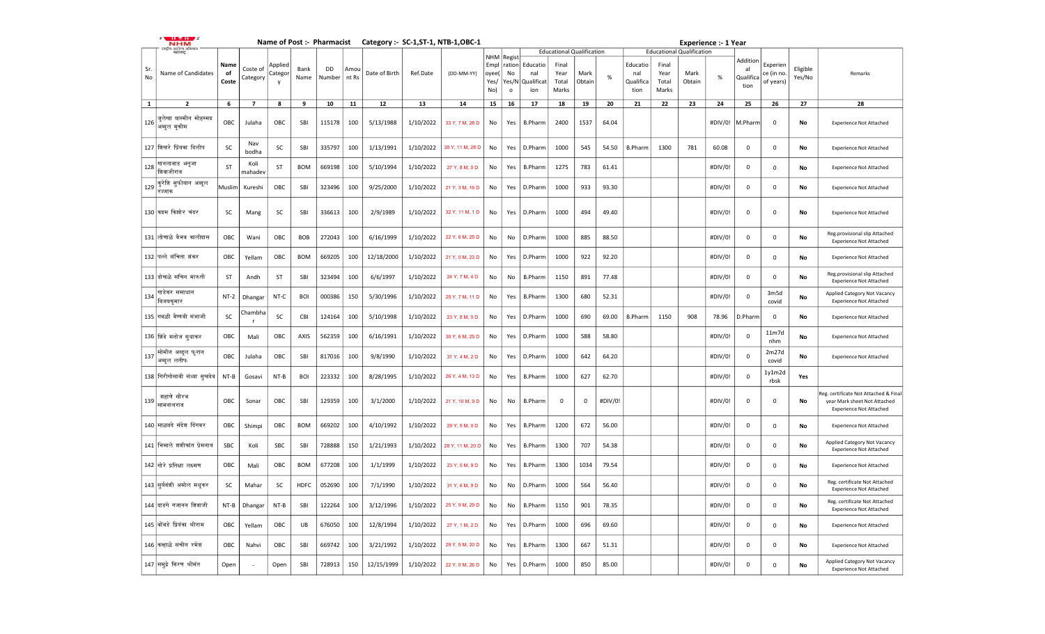|              | <b>NHM</b>                             |                     |                      |                                |              | Name of Post :- Pharmacist |               |                   |           | Category :- SC-1, ST-1, NTB-1, OBC-1 |                              |                                       |                                      |                                  |                |         |                                      |                                 |                                  | <b>Experience :- 1 Year</b> |                                     |                                     |                    |                                                                                                         |
|--------------|----------------------------------------|---------------------|----------------------|--------------------------------|--------------|----------------------------|---------------|-------------------|-----------|--------------------------------------|------------------------------|---------------------------------------|--------------------------------------|----------------------------------|----------------|---------|--------------------------------------|---------------------------------|----------------------------------|-----------------------------|-------------------------------------|-------------------------------------|--------------------|---------------------------------------------------------------------------------------------------------|
|              | राष्ट्रीय आरोज्य अभिन्<br>महाराष्ट्र   |                     |                      |                                |              |                            |               |                   |           |                                      |                              | NHM Regist                            |                                      | <b>Educational Qualification</b> |                |         |                                      |                                 | <b>Educational Qualification</b> |                             |                                     |                                     |                    |                                                                                                         |
| Sr.<br>No    | Name of Candidates                     | Name<br>of<br>Coste | Coste of<br>Category | Applied<br>Categoı<br><b>y</b> | Bank<br>Name | DD<br>Number               | Amou<br>nt Rs | Date of Birth     | Ref.Date  | (DD-MM-YY)                           | Empl<br>oyee(<br>Yes/<br>No) | ration<br>No<br>Yes/N<br>$\mathsf{o}$ | Educatio<br>nal<br>Qualificat<br>ion | Final<br>Year<br>Total<br>Marks  | Mark<br>Obtain | %       | Educatio<br>nal<br>Qualifica<br>tion | Final<br>Year<br>Total<br>Marks | Mark<br>Obtain                   | %                           | Addition<br>al<br>Qualifica<br>tion | Experien<br>ce (in no.<br>of years) | Eligible<br>Yes/No | Remarks                                                                                                 |
| $\mathbf{1}$ | $\overline{2}$                         | 6                   | $\overline{7}$       | 8                              | 9            | 10                         | 11            | $12 \overline{ }$ | 13        | 14                                   | 15                           | 16                                    | 17                                   | 18                               | 19             | 20      | 21                                   | 22                              | 23                               | 24                          | 25                                  | 26                                  | 27                 | 28                                                                                                      |
| 126          | जूलेखा यास्मीन मोहम्मद<br>अब्दूल मूकीम | OBC                 | Julaha               | OBC                            | SBI          | 115178                     | 100           | 5/13/1988         | 1/10/2022 | 33 Y, 7 M, 28 D                      | No                           | Yes                                   | <b>B.Pharm</b>                       | 2400                             | 1537           | 64.04   |                                      |                                 |                                  | #DIV/0!                     | M.Pharm                             | $\mathbf 0$                         | No                 | <b>Experience Not Attached</b>                                                                          |
|              | 127 शिखरे प्रिंयका दिलीप               | SC                  | Nav<br>bodha         | <b>SC</b>                      | SBI          | 335797                     | 100           | 1/13/1991         | 1/10/2022 | 30 Y, 11 M, 28 D                     | No                           | Yes                                   | D.Pharm                              | 1000                             | 545            | 54.50   | <b>B.Pharm</b>                       | 1300                            | 781                              | 60.08                       | 0                                   | $\mathbf 0$                         | No                 | <b>Experience Not Attached</b>                                                                          |
| 128          | गानलावाड अनूजा<br>शिवाजीराव            | <b>ST</b>           | Koli<br>mahadev      | ST                             | <b>BOM</b>   | 669198                     | 100           | 5/10/1994         | 1/10/2022 | 27 Y, 8 M, 0 D                       | No                           | Yes                                   | <b>B.Pharm</b>                       | 1275                             | 783            | 61.41   |                                      |                                 |                                  | #DIV/0!                     | 0                                   | $\mathbf 0$                         | No                 | <b>Experience Not Attached</b>                                                                          |
| 129          | कुरेशि सुफीयान अब्दूल<br>रज्जाक        | Muslim              | Kureshi              | OBC                            | SBI          | 323496                     | 100           | 9/25/2000         | 1/10/2022 | 21 Y, 3 M, 16 D                      | No                           | Yes                                   | D.Pharm                              | 1000                             | 933            | 93.30   |                                      |                                 |                                  | #DIV/0!                     | $\mathbf 0$                         | $\mathsf 0$                         | No                 | <b>Experience Not Attached</b>                                                                          |
|              | 130 कदम किशोर चंदर                     | SC                  | Mang                 | <b>SC</b>                      | SBI          | 336613                     | 100           | 2/9/1989          | 1/10/2022 | 32 Y, 11 M, 1 D                      | No                           | Yes                                   | D.Pharm                              | 1000                             | 494            | 49.40   |                                      |                                 |                                  | #DIV/0!                     | 0                                   | $\mathbf 0$                         | No                 | <b>Experience Not Attached</b>                                                                          |
|              | 131 लोणाळे वैभव कालीदास                | OBC                 | Wani                 | OBC                            | BOB          | 272043                     | 100           | 6/16/1999         | 1/10/2022 | 22 Y, 6 M, 25 D                      | No                           | No                                    | D.Pharm                              | 1000                             | 885            | 88.50   |                                      |                                 |                                  | #DIV/0!                     | 0                                   | $\mathbf 0$                         | No                 | Reg.provisional slip Attached<br><b>Experience Not Attached</b>                                         |
|              | 132 पल्ले संचिता शंकर                  | OBC                 | Yellam               | OBC                            | <b>BOM</b>   | 669205                     | 100           | 12/18/2000        | 1/10/2022 | 21 Y, 0 M, 23 D                      | No                           | Yes                                   | D.Pharm                              | 1000                             | 922            | 92.20   |                                      |                                 |                                  | #DIV/0!                     | $\mathbf 0$                         | $\mathbf 0$                         | No                 | <b>Experience Not Attached</b>                                                                          |
|              | 133 डोखळे सचिन मारुती                  | ST                  | Andh                 | <b>ST</b>                      | SBI          | 323494                     | 100           | 6/6/1997          | 1/10/2022 | 24 Y, 7 M, 4 D                       | No                           | No                                    | <b>B.Pharm</b>                       | 1150                             | 891            | 77.48   |                                      |                                 |                                  | #DIV/0!                     | $\mathbf 0$                         | $\mathbf 0$                         | No                 | Reg.provisional slip Attached<br><b>Experience Not Attached</b>                                         |
| 134          | गाडेकर समाधान<br>विजयकमार              | $NT-2$              | Dhangar              | NT-C                           | <b>BOI</b>   | 000386                     | 150           | 5/30/1996         | 1/10/2022 | 25 Y, 7 M, 11 D                      | No                           | Yes                                   | <b>B.Pharm</b>                       | 1300                             | 680            | 52.31   |                                      |                                 |                                  | #DIV/0!                     | $\mathbf 0$                         | 3m5d<br>covid                       | No                 | Applied Category Not Vacancy<br><b>Experience Not Attached</b>                                          |
|              | 135 गवळी वैष्णवी संभाजी                | SC                  | Chambha              | <b>SC</b>                      | CBI          | 124164                     | 100           | 5/10/1998         | 1/10/2022 | 23 Y, 8 M, 0 D                       | No                           | Yes                                   | D.Pharm                              | 1000                             | 690            | 69.00   | <b>B.Pharm</b>                       | 1150                            | 908                              | 78.96                       | D.Pharm                             | $\mathbf 0$                         | No                 | <b>Experience Not Attached</b>                                                                          |
|              | 136 झिंदे मनोज सुधाकर                  | OBC                 | Mali                 | OBC                            | AXIS         | 562359                     | 100           | 6/16/1991         | 1/10/2022 | 30 Y, 6 M, 25 D                      | No                           | Yes                                   | D.Pharm                              | 1000                             | 588            | 58.80   |                                      |                                 |                                  | #DIV/0!                     | $\mathbf 0$                         | 11m7d<br>nhm                        | No                 | <b>Experience Not Attached</b>                                                                          |
| 137          | मोमीन अब्दूल फूरान<br>अब्दूल लतीफ      | OBC                 | Julaha               | OBC                            | SBI          | 817016                     | 100           | 9/8/1990          | 1/10/2022 | 31 Y, 4 M, 2 D                       | No                           | Yes                                   | D.Pharm                              | 1000                             | 642            | 64.20   |                                      |                                 |                                  | #DIV/0!                     | $\overline{\mathbf{0}}$             | 2m27d<br>covid                      | No                 | <b>Experience Not Attached</b>                                                                          |
|              | 138 गिरीगोसावी संध्या सुखदेव           | $NT-B$              | Gosavi               | $NT-B$                         | <b>BOI</b>   | 223332                     | 100           | 8/28/1995         | 1/10/2022 | 26 Y, 4 M, 13 D                      | No                           | Yes                                   | <b>B.Pharm</b>                       | 1000                             | 627            | 62.70   |                                      |                                 |                                  | #DIV/0!                     | $\overline{\mathbf{0}}$             | 1y1m2d<br>rbsk                      | Yes                |                                                                                                         |
| 139          | शहाणे सौरभ<br>सामनाथराव                | OBC                 | Sonar                | OBC                            | SBI          | 129359                     | 100           | 3/1/2000          | 1/10/2022 | 21 Y, 10 M, 9 D                      | No                           | No                                    | <b>B.Pharm</b>                       | $\mathbf{0}$                     | $\Omega$       | #DIV/0! |                                      |                                 |                                  | #DIV/0!                     | $\mathbf 0$                         | $\mathsf 0$                         | No                 | Reg. certificate Not Attached & Final<br>year Mark sheet Not Attached<br><b>Experience Not Attached</b> |
|              | 140 माळवदे संदेश दिंगबर                | OBC                 | Shimpi               | OBC                            | <b>BOM</b>   | 669202                     | 100           | 4/10/1992         | 1/10/2022 | 29 Y, 9 M, 0 D                       | No                           | Yes                                   | <b>B.Pharm</b>                       | 1200                             | 672            | 56.00   |                                      |                                 |                                  | #DIV/0!                     | $\mathbf 0$                         | $\mathbf 0$                         | No                 | <b>Experience Not Attached</b>                                                                          |
|              | 141  भिमाले शशीकांत प्रेमनाथ           | SBC                 | Koli                 | SBC                            | SBI          | 728888                     | 150           | 1/21/1993         | 1/10/2022 | 28 Y, 11 M, 20 D                     | No                           | Yes                                   | <b>B.Pharm</b>                       | 1300                             | 707            | 54.38   |                                      |                                 |                                  | #DIV/0!                     | $\mathbf 0$                         | $\mathsf 0$                         | No                 | Applied Category Not Vacancy<br><b>Experience Not Attached</b>                                          |
|              | 142 गोरे प्रतिक्षा लक्ष्मण             | OBC                 | Mali                 | OBC                            | <b>BOM</b>   | 677208                     | 100           | 1/1/1999          | 1/10/2022 | 23 Y, 0 M, 9 D                       | No                           | Yes                                   | <b>B.Pharm</b>                       | 1300                             | 1034           | 79.54   |                                      |                                 |                                  | #DIV/0!                     | $\mathbf 0$                         | $\mathsf 0$                         | No                 | <b>Experience Not Attached</b>                                                                          |
|              | 143 सूर्यवंशी अमोल मधुकर               | SC                  | Mahar                | <b>SC</b>                      | <b>HDFC</b>  | 052690                     | 100           | 7/1/1990          | 1/10/2022 | 31 Y, 6 M, 9 D                       | No                           | No                                    | D.Pharm                              | 1000                             | 564            | 56.40   |                                      |                                 |                                  | #DIV/0!                     | $\mathbf 0$                         | $\mathbf 0$                         | No                 | Reg. certificate Not Attached<br><b>Experience Not Attached</b>                                         |
|              | 144 दाडगे गजानन शिवाजी                 | $NT-B$              | Dhangar              | NT-B                           | SBI          | 122264                     | 100           | 3/12/1996         | 1/10/2022 | 25 Y, 9 M, 29 D                      | No                           | No                                    | <b>B.Pharm</b>                       | 1150                             | 901            | 78.35   |                                      |                                 |                                  | #DIV/0!                     | $\mathbf 0$                         | $\mathbf 0$                         | No                 | Reg. certificate Not Attached<br><b>Experience Not Attached</b>                                         |
|              | 145 बोंबडे प्रियंका श्रीराम            | OBC                 | Yellam               | OBC                            | UB           | 676050                     | 100           | 12/8/1994         | 1/10/2022 | 27 Y, 1 M, 2 D                       | No                           | Yes                                   | D.Pharm                              | 1000                             | 696            | 69.60   |                                      |                                 |                                  | #DIV/0!                     | $\Omega$                            | $\mathsf 0$                         | No                 | <b>Experience Not Attached</b>                                                                          |
|              | 146 कव्हाळे सचीन रमेश                  | OBC                 | Nahvi                | OBC                            | SBI          | 669742                     | 100           | 3/21/1992         | 1/10/2022 | 29 Y, 9 M, 20 D                      | No                           | Yes                                   | <b>B.Pharm</b>                       | 1300                             | 667            | 51.31   |                                      |                                 |                                  | #DIV/0!                     | $\mathsf 0$                         | $\mathbf 0$                         | No                 | <b>Experience Not Attached</b>                                                                          |
|              | 147 समुद्रे किरण श्रीमंत               | Open                |                      | Open                           | SBI          | 728913                     | 150           | 12/15/1999        | 1/10/2022 | 22 Y, 0 M, 26 D                      | No                           | Yes                                   | D.Pharm                              | 1000                             | 850            | 85.00   |                                      |                                 |                                  | #DIV/0!                     | $\mathsf 0$                         | $\mathsf 0$                         | No                 | Applied Category Not Vacancy<br><b>Experience Not Attached</b>                                          |